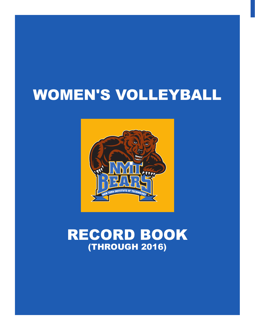# WOMEN'S VOLLEYBALL



# RECORD BOOK (THROUGH 2016)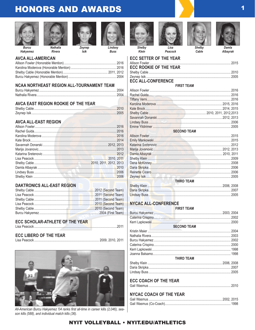## **HONORS AND AWARDS**









**Rivera** 

Zevnep Isik

Lindsev



Klein







Damla Albayrak

**Russ** 

**AVCA ALL-AMERICAN** 

#### NCAA NORTHEAST REGION ALL-TOURNAMENT TEAM

#### **AVCA EAST REGION ROOKIE OF THE YEAR**

#### **AVCA ALL-EAST REGION**

#### **DAKTRONICS ALL-EAST REGION**

#### **ECC SCHOLAR-ATHLETE OF THE YEAR**

| <b>ECC LIBERO OF THE YEAR</b> |  |
|-------------------------------|--|
|                               |  |



All-American Burcu Hakyemez '04 ranks first all-time in career kills (2,046), season kills (588), and individual match kills (36).



Cable

#### 

#### **ECC ROOKIE OF THE YEAR ECC ALL-CONFERENCE FIRST TEAM**

| <b>SECOND TEAM</b> |  |
|--------------------|--|
|                    |  |
|                    |  |
|                    |  |
|                    |  |
|                    |  |
|                    |  |
|                    |  |
|                    |  |
|                    |  |
|                    |  |
| <b>THIRD TEAM</b>  |  |
|                    |  |
|                    |  |
|                    |  |

#### **NYCAC ALL-CONFERENCE**

**FIRST TEAM SECOND TEAM** THIRD TEAM **ECC COACH OF THE YEAR NYCAC COACH OF THE YEAR**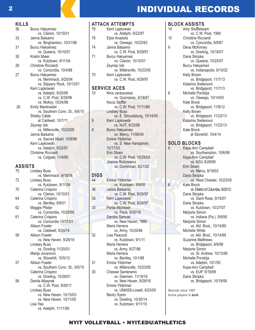## 2 **2 INDIVIDUAL RECORDS**

| KILLS |                                                   |
|-------|---------------------------------------------------|
| 36    | Burcu Hakyemez                                    |
|       | vs. Clarion, 10/10/01                             |
| 33    | Janna Balsamo                                     |
|       | vs. Binghamton, 10/31/98                          |
| 31    | <b>Burcu Hakyemez</b>                             |
|       | vs. Queens, 10/10/01                              |
| 30    | Kristin Maier                                     |
|       | vs. Kutztown, 9/11/04                             |
| 28    | Christine Ricciardi                               |
|       | vs. Concordia, 10/4/88                            |
| 27    | Burcu Hakyemez                                    |
|       | vs. Merrimack, 9/25/04                            |
|       | vs. Slippery Rock, 10/13/01                       |
|       | Kerri Lapkowski                                   |
|       | vs. Adelphi, 9/25/99                              |
|       | vs. C.W. Post, 9/29/99                            |
| 26    | vs. Molloy, 10/24/98                              |
|       | Emily Mankowski<br>vs. Southern Conn. St., 9/5/15 |
|       | <b>Shelby Cable</b>                               |
|       | at Caldwell, 10/7/11                              |
|       | Zeynep Isik                                       |
|       | vs. Millersville, 10/23/05                        |
|       | Janna Balsamo                                     |
|       | vs. Sacred Heart, 10/8/98                         |
|       | Kerri Lapkowski                                   |
|       | vs. Adelphi, 9/22/97                              |
|       | <b>Christine Ricciardi</b>                        |
|       | vs. Colgate, 11/4/89                              |
|       |                                                   |

#### **ASSISTS**

| 75 | Lindsey Buss                   |
|----|--------------------------------|
|    | vs. Merrimack, 9/18/04         |
| 72 | <b>Lindsey Buss</b>            |
|    | vs. Kutztown, 9/11/04          |
| 70 | Caterina Crispino              |
|    | vs. Clarion, 10/10/01          |
| 64 | Caterina Crispino              |
|    | vs. Bentley, 9/8/01            |
| 62 | Maggie Pfister                 |
|    | vs. Concordia, 10/25/89        |
| 61 | Caterina Crispino              |
|    | vs. Concordia 10/31/01         |
|    | <b>Allison Fowler</b>          |
|    | vs. Caldwell, 9/20/14          |
| 58 | Allison Fowler                 |
|    | vs. New Haven, 9/28/16         |
|    | <b>Lindsey Buss</b>            |
|    | vs. Dowling 11/20/03           |
|    | Marija Jovanovic               |
|    | vs. Stonehill, 10/5/12         |
| 57 | Allison Fowler                 |
|    | vs. Southern Conn. St., 9/5/15 |
|    | Caterina Crispino              |
|    | vs. Dowling, 10/29/01          |
| 56 | Damla Albayrak                 |
|    | vs. C.W. Post, 9/29/11         |
|    | Lindsey Buss                   |
|    | vs. New Haven, 10/15/03        |
|    | vs. New Haven, 10/11/05        |
|    | Lisa Yee                       |
|    | vs. Adelphi, 11/11/95          |

#### **ATTACK ATTEMPTS**

| 79                  | Kerri Lapkowski            |
|---------------------|----------------------------|
|                     | vs. Adelphi, 9/22/97       |
| 76                  | Elpis Anadolis             |
|                     | vs. Oswego, 10/23/93       |
| 74                  | Janna Balsamo              |
|                     | vs. C.W. Post, 9/29/97     |
| 71                  | <b>Burcu Hakyemez</b>      |
|                     | vs. Clarion, 10/10/01      |
|                     | Zeynep Isik                |
|                     | vs. Millersville, 10/23/05 |
| 70                  | Kerri Lapkowski            |
|                     | vs. C.W. Post, 9/29/97     |
| <b>SERVICE ACES</b> |                            |
| 10                  | Nina Jankauskas            |
|                     | vs. Quinnipiac, 9/19/87    |
|                     |                            |

| vs. Quinnipiac, 9/19/87      |
|------------------------------|
| Kecia Stoffer                |
| vs. C.W. Post, 11/11/88      |
| <b>Lindsey Buss</b>          |
| vs. E. Stroudsburg, 10/14/05 |
| Kerri Lapkowski              |
| vs. NJIT, 9/23/99            |
| <b>Burcu Hakyemez</b>        |
| vs. Mercy, 11/06/04          |
| <b>Emine Yildirimer</b>      |
| vs. S. New Hampshire,        |
| 10/17/03                     |
| Erin Stoen                   |
| vs. C.W. Post, 10/25/03      |
| Joanna Rodziewicz            |
| vs. Dominican, 9/21/02       |
|                              |

## **DIGS**

| 44 | Emine Yildirimer           |
|----|----------------------------|
|    | vs. Kutztown, 9/9/05       |
| 36 | Janna Balsamo              |
|    | vs. C.W. Post, 9/29/97     |
| 35 | <b>Kerri Lapkowski</b>     |
|    | vs. C.W. Post, 9/29/97     |
| 33 | <b>Portia McIntosh</b>     |
|    | vs. Pace, 9/20/16          |
|    | Sandra Samuel              |
|    | vs. New Haven, 1990        |
|    | Maria Herrera              |
|    | vs. Army, 10/25/88         |
| 32 | Lisa Peacock               |
|    | vs. Kutztown, 9/1/11       |
|    | Maria Herrera              |
|    | vs. Army, 9/27/88          |
|    | Maria Herrera              |
|    | vs. Bentley, 10/1/88       |
| 31 | Emine Yildirimer           |
|    | vs. Millersville, 10/23/05 |
| 30 | Chessie Santeramo          |
|    | vs. Daemen, 11/19/16       |
|    | vs. New Haven, 9/28/16     |
|    | <b>Emine Yildirimer</b>    |
|    | vs. UMASS-Lowell, 9/23/05  |
|    | Becky Syers                |
|    | vs. Dowling, 10/30/14      |
|    | vs. Kutztown, 9/11/15      |

| <b>BLOCK ASSISTS</b> |                           |  |  |
|----------------------|---------------------------|--|--|
| 14                   | Amy Stufflebeam           |  |  |
|                      | vs. C.W. Post, 1990       |  |  |
| 10                   | Christine Ricciardi       |  |  |
|                      | vs. Concordia, 9/9/87     |  |  |
| 9                    | Dena McKinney             |  |  |
|                      | vs. Dowling, 10/18/07     |  |  |
|                      | Daria Skripka             |  |  |
|                      | vs. Queens, 10/25/07      |  |  |
|                      | Burcu Hakyemez            |  |  |
|                      | vs. Indianapolis, 9/13/02 |  |  |
|                      | Kelly Brown               |  |  |
|                      | vs. Bridgeport, 11/7/13   |  |  |
|                      | Katarina Sretenovic       |  |  |
|                      | vs. Bridgeport, 11/7/13   |  |  |
| 8                    | Michelle Porobija         |  |  |
|                      | vs. Oswego, 10/14/93      |  |  |
|                      | Kate Brock                |  |  |
|                      | vs. Bridgeport, 11/8/12   |  |  |
|                      | Kelly Brown               |  |  |
|                      | vs. Bridgeport, 11/23/13  |  |  |
|                      | Katarina Sretenovic       |  |  |
|                      | vs. Bridgeport, 11/23/13  |  |  |
|                      | Kate Brock                |  |  |
|                      | at Stonehill, 10/4/14     |  |  |

## **SOLO BLOCKS**<br>8 **Kave-Ann C**

Kaye-Ann Campbell vs. Southampton, 10/6/99 Kaye-Ann Campbell vs. NSU 8/28/99 Erin Stoen vs. Mercy, 9/19/03 Daria Skripka vs. West Chester, 10/23/05 Kate Brock vs. District of Columbia, 9/20/12 Daria Skripka vs. Saint Rose, 9/15/07 Daria Skripka vs. Kutztown, 10/27/07 Marjorie Simon vs. Indiana (Pa.), 9/9/95 Marjorie Simon vs. Ald. Brod., 10/14/95 Michelle White vs. Ald. Brod., 10/14/95 Suzanne Matthews vs. Bridgeport, 9/9/98<br>5 Mariorie Simon Marjorie Simon vs. St. Andrew, 10/13/95 Michelle Porobija vs. Adelphi, 10/1/93 Kaye-Ann Campbell vs. EUP, 9/18/99 Daria Skripka vs. Bridgeport, 10/19/06

*Records since 1987 Active players in* **bold**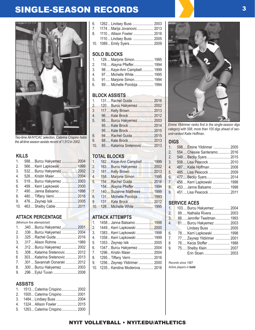## SINGLE-SEASON RECORDS 3



*Two-time All-NYCAC selection, Caterina Crispino holds the all-time season assists record of 1,513 in 2002.*

#### **KILLS**

| 1.               | 588 Burcu Hakyemez  2004  |  |
|------------------|---------------------------|--|
| 2.               | 566 Kerri Lapkowski  1999 |  |
| 3.               |                           |  |
| $\overline{4}$ . | 526 Kristin Maier 2004    |  |
| 5.               | 519 Burcu Hakyemez  2003  |  |
| 6.               | 499 Kerri Lapkowski  2000 |  |
| 7 <sub>1</sub>   | 490 Janna Balsamo 1998    |  |
| 8.               |                           |  |
| 9.               |                           |  |
| 10.              |                           |  |

### **ATTACK PERCENTAGE**

|                  | (Minimum five attempts/set)     |  |
|------------------|---------------------------------|--|
| 1.               | .340  Burcu Hakyemez  2001      |  |
| 2.               | .336  Burcu Hakyemez  2004      |  |
| 3.               | .325  Rachel Guida  2016        |  |
| 3.               | .317  Alison Rohme  1989        |  |
| $\overline{4}$ . | .312  Burcu Hakyemez  2002      |  |
| 5.               | .308  Katarina Sretenovic  2012 |  |
| 6                | 303 Katarina Sretenovic  2013   |  |
| 7 <sub>1</sub>   | .301  Savannah Donarski  2012   |  |
| 8.               | .300  Burcu Hakyemez  2003      |  |
| 9.               | .296  Eylul Tuvan  2008         |  |

### **ASSISTS**

| .                               |  |
|---------------------------------|--|
| 1. 1513 Caterina Crispino  2002 |  |
| 2. 1500 Caterina Crispino 2001  |  |
| 3. 1484 Lindsey Buss  2004      |  |
| 4. 1324 Allison Fowler  2015    |  |
| 5. 1263 Caterina Crispino  2000 |  |

| 6. 1262 Lindsey Buss  2003      |  |
|---------------------------------|--|
| 7. 1174  Marija Jovanovic  2013 |  |
| 8. 1110 Allison Fowler  2016    |  |
| 1110 Lindsey Buss  2005         |  |
| 10. 1089 Emily Syers 2009       |  |

### **SOLO BLOCKS**

| $1_{\cdot}$    | 129 Marjorie Simon 1995    |
|----------------|----------------------------|
| 2 <sub>1</sub> | 116 Alayna Pfieffer 1994   |
| 3.             | 98 Kaye-Ann Campbell 1999  |
| 4 <sup>1</sup> | 97 Michelle White  1995    |
| 5.             | 91 Marjorie Simon 1994     |
| 6.             | 89 Michelle Porobija  1994 |

#### **BLOCK ASSISTS**

| $1_{-}$        | 131 Rachel Guida  2016                    |  |
|----------------|-------------------------------------------|--|
| $2 -$          | 120 Burcu Hakyemez  2002                  |  |
| 3              | 117 Kelly Brown 2013                      |  |
| 4.             |                                           |  |
| 5.             | 95 Burcu Hakyemez  2003                   |  |
|                |                                           |  |
|                |                                           |  |
| 8 <sub>1</sub> |                                           |  |
| 9.             | 88 Kate Brock  2013                       |  |
| 10.            | 85 Katarina Sretenovic <b>Manage 2013</b> |  |
|                |                                           |  |

### **TOTAL BLOCKS**

| 1.                              | 182 Kaye-Ann Campbell 1999   |  |
|---------------------------------|------------------------------|--|
| 2.                              | 163 Burcu Hakyemez  2002     |  |
| $\overline{3}$                  |                              |  |
| 4.                              | 158 Marjorie Simon 1995      |  |
| 5.                              |                              |  |
| ц,                              | 154 Alayna Pfieffer 1994     |  |
| $7_{\scriptscriptstyle{\perp}}$ | 140 Suzanne Matthews  1999   |  |
| 8.                              | 131 Michelle Porobija  1993  |  |
| 9                               | 131 Kate Brock  2012         |  |
|                                 | 10. 128 Michelle White  1995 |  |
|                                 |                              |  |

#### **ATTACK ATTEMPTS**

| 1. | 1458 Janna Balsamo 1998         |  |
|----|---------------------------------|--|
| 2. | 1449 Kerri Lapkowski  2000      |  |
| 3. | 1383 Kerri Lapkowski  1998      |  |
| 4. | 1358 Kerri Lapkowski  1999      |  |
| 5. | 1353 Zeynep Isik  2005          |  |
| 6. | 1347 Burcu Hakyemez  2004       |  |
| 7. | 1296 Kristin Maier 2004         |  |
| 8. | 1295 Tiffany Verni 2016         |  |
| 9. | 1256 Zeynep Yildirimer 2000     |  |
|    | 10. 1235 Karolina Moderova 2016 |  |
|    |                                 |  |



*Emine Yildirimer ranks first in the single-season digs category with 598, more than 100 digs ahead of second-ranked Katie Hoffman.*

#### **DIGS**

| 1.      | 598 Emine Yildirimer  2005                  |  |
|---------|---------------------------------------------|--|
| 2,      | 554 Chessie Santeramo  2016                 |  |
| 2.      | 549 Becky Syers 2015                        |  |
| 3.      | 508 Lisa Peacock  2010                      |  |
| $4_{-}$ | 487 Katie Hoffman  2008                     |  |
| 5.      | 485 Lisa Peacock  2009                      |  |
|         | $6. \triangleright$<br>477 Becky Syers 2014 |  |
| 7.      | 456 Kerri Lapkowski  1998                   |  |
| 8.      | 453 Janna Balsamo  1998                     |  |
| 9.      | 451Lisa Peacock 2011                        |  |
|         |                                             |  |

#### **SERVICE ACES**

| 1.               | 103 Burcu Hakyemez  2004   |  |
|------------------|----------------------------|--|
| 2.               | 89 Nathalia Rivera  2003   |  |
| $\overline{3}$ . | 86 Jennifer Tweitman 1993  |  |
| 4.               | 81 Burcu Hakyemez  2003    |  |
|                  | Lindsey Buss  2005         |  |
| 6.               | 78 Kerri Lapkowski  1998   |  |
| 7.               | 77 Zeynep Yildirimer  2001 |  |
| 8                | 76 Kecia Stoffer  1988     |  |
| 9.               | 75 Shelby Klein 2007       |  |
|                  | Erin Stoen 2003            |  |
|                  |                            |  |

*Records since 1987 Active players in* **bold***.*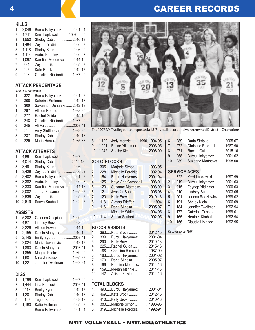## 4 **CAREER RECORDS**

**KILLS**

| 1.             | 2,046  Burcu Hakyemez 2001-04     |  |
|----------------|-----------------------------------|--|
| 2.             | 1,711  Kerri Lapkowski 1997-2000  |  |
| 3.             | 1,550  Shelby Cable 2010-13       |  |
| 4.             | 1,484  Zeynep Yildirimer  2000-03 |  |
| 5.             | 1,118  Shelby Klein  2006-09      |  |
| 6.             | 1,114  Audra Nadolny  2000-03     |  |
| 7 <sub>1</sub> | 1,097  Karolina Moderova  2014-16 |  |
| 7 <sub>1</sub> | 931 Zeynep Isik  2005-07          |  |
| 8.             | 925 Kate Brock  2012-15           |  |
| 9.             | 908 Christine Ricciardi 1987-90   |  |
|                |                                   |  |

### **ATTACK PERCENTAGE**

*(Min. 1000 attempts)*

| $\mathbf{1}$ .   | .322  Burcu Hakyemez 2001-03       |  |
|------------------|------------------------------------|--|
| 2.               | .306  Katarina Sretenovic 2012-13  |  |
| 3.               | .300  Savannah Donarski 2012-13    |  |
| $\overline{4}$ . | .297  Allison Rohme  1988-90       |  |
| 5.               | .277  Rachel Guida  2015-16        |  |
| 5.               | .248  Christine Ricciardi  1987-90 |  |
| 6.               |                                    |  |
| 7.               | 240 Amy Stufflebeam 1989-90        |  |
| 8.               | .237  Shelby Cable  2010-13        |  |
| 9.               | .229  Maria Herrera  1985-88       |  |
|                  |                                    |  |

#### **ATTACK ATTEMPTS**

| $1_{-}$          | 4,891  Kerri Lapkowski 1997-00    |  |
|------------------|-----------------------------------|--|
| 2.               | 4,014  Shelby Cable 2010-13.      |  |
| 3.               | 3,491  Shelby Klein  2006-09      |  |
| $\overline{4}$ . | 3,429  Zeynep Yildirimer  2000-02 |  |
| 5.               | 3,402  Burcu Hakyemez 2001-03     |  |
| 6.               | 3,382  Audra Nadolny  2000-03     |  |
| 7 <sub>1</sub>   | 3,330  Karolina Moderova  2014-16 |  |
| 8.               | 3,002  Janna Balsamo  1995-97     |  |
| 9.               | 2,839  Zeynep Isik  2005-07       |  |
|                  | 10. 2,619  Sonya Seubert  1992-95 |  |
|                  |                                   |  |

#### **ASSISTS**

| $1_{-}$          | 5,202  Caterina Crispino  1999-02 |  |
|------------------|-----------------------------------|--|
| 2 <sub>1</sub>   | 4,871  Lindsey Buss 2003-06       |  |
| 3.               | 3,226  Allison Fowler 2014-16     |  |
| $\overline{4}$ . | 2,155  Damla Albayrak  2010-12    |  |
| 5.               | 2,145  Emily Syers 2008-11        |  |
| 6.               | 2,024  Marija Jovanovic  2012-13  |  |
| 7 <sub>1</sub>   | 1,893  Damla Albayrak2008-11      |  |
| 8.               | 1,855  Maggie Pfister  1989-90    |  |
| 9.               | 1,601  Nina Jankauskas 1985-88    |  |
| 10 <sub>1</sub>  | 1,221  Jennifer Tweitman  1992-94 |  |
|                  |                                   |  |

#### **DIGS**

|    | 1. 1,799  Kerri Lapkowski 1997-00 |  |
|----|-----------------------------------|--|
| 2. | 1,444  Lisa Peacock2008-11        |  |
|    | 3. 1413 Becky Syers 2012-15       |  |
| 4. | 1,201  Shelby Cable 2010-13       |  |
|    | 5. 1169 Tugce Sirdas 2009-12      |  |
|    | 6. 1,160  Katie Hoffman  2005-08  |  |
|    | Burcu Hakyemez 2001-04            |  |



The 1978 NYIT volleyball team posted a 18-7 overall record and were crowned District III Champions.

| 8. 1,129  Jody Menzie  1990, 1994-95 |  |
|--------------------------------------|--|
| 9. 1,091  Emine Yildirimer  2003-05  |  |
| 10. 1,042  Shelby Klein  2006-09     |  |

### **SOLO BLOCKS**

| $\overline{1}$ . | 305Marjorie Simon 1993-95                    |  |
|------------------|----------------------------------------------|--|
| 2.               | 228 Michelle Porobija 1992-94                |  |
| 3.               | 154Burcu Hakyemez 2001-04                    |  |
| 4.               | 125  Kaye-Ann Campbell  1998-01              |  |
| 5.               | 123 Suzanne Matthews  1998-00                |  |
| 6.               | 121 Jennifer Saas  1995-98                   |  |
| 7.               | 120Kelly Brown 2010-13                       |  |
| 8.               | 118 Alayna Pfieffer1994                      |  |
| 9.               | 116 Daria Skripka <b>Martin 1990</b> 2005-07 |  |
|                  | Michelle White 1994-95                       |  |
|                  | 10. 114  Sonya Seubert  1992-95              |  |

### **BLOCK ASSISTS**

| 1.  | 363Kate Brock  2012-15          |  |
|-----|---------------------------------|--|
|     | 2. 339  Burcu Hakyemez 2001-04  |  |
| 3.  | 290Kelly Brown 2010-13          |  |
| 4.  | 225Rachel Guida  2015-16        |  |
| 5.  | 188 Christine Ricciardi 1987-90 |  |
| 6.  | 183Burcu Hakyemez 2001-02       |  |
| 7.  | 173 Daria Skripka  2005-07      |  |
| 8.  | 166 Karolina Moderova 2014-16   |  |
|     | 159Megan Mannle  2014-16        |  |
| 10. | 142 Allison Fowler 2014-16      |  |
|     |                                 |  |

#### **TOTAL BLOCKS**

|         | 1. 493Burcu Hakyemez 2001-04     |  |
|---------|----------------------------------|--|
| $2^{+}$ | 469Kate Brock  2012-15           |  |
|         | 3. 410Kelly Brown 2010-13        |  |
| 4.      | 383Marjorie Simon 1993-95        |  |
|         | 5. 319 Michelle Porobija 1992-94 |  |
|         |                                  |  |

|    | 6. 289Daria Skripka  2005-07      |  |
|----|-----------------------------------|--|
|    | 7. 272Christine Ricciardi 1987-90 |  |
| 8. | 271Rachel Guida  2015-16          |  |
|    | 9. 258Burcu Hakyemez 2001-02      |  |
|    | 10. 239 Suzanne Matthews  1998-00 |  |

#### **SERVICE ACES**

| 1.              | 322 Kerri Lapkowski 1997-99    |
|-----------------|--------------------------------|
| 2.              | 219Burcu Hakyemez 2001-03      |
| 3.              | 215 Zeynep Yildirimer  2000-03 |
| 4.              | 210Lindsey Buss  2003-05       |
| 5.              | 201Joanna Rodziewicz 1999-02   |
| 6.              | 191 Shelby Klein  2006-09      |
| 7.              | 184Jennifer Tweitman 1992-94   |
| 8.              | 177Caterina Crispino  1999-01  |
| 9.              | 165 Heather Kimball  1992-94   |
| 10 <sub>1</sub> | 156Claudia Holanda  1992-95    |

*Records since 1987*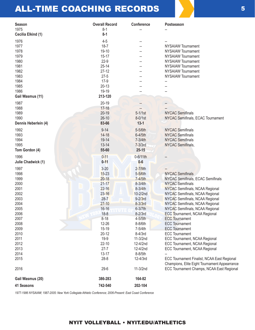## ALL-TIME COACHING RECORDS 5

| <b>Season</b><br>1975 | <b>Overall Record</b><br>$8 - 1$ | <b>Conference</b> | Postseason                                                                                 |
|-----------------------|----------------------------------|-------------------|--------------------------------------------------------------------------------------------|
| Cecilia Elkind (1)    | $8 - 1$                          |                   |                                                                                            |
| 1976                  | $4 - 5$                          |                   |                                                                                            |
| 1977                  | $18 - 7$                         |                   | <b>NYSAIAW Tournament</b>                                                                  |
| 1978                  | 19-10                            |                   | <b>NYSAIAW Tournament</b>                                                                  |
| 1979                  | $15 - 17$                        |                   | <b>NYSAIAW Tournament</b>                                                                  |
| 1980                  | $22-9$                           |                   | <b>NYSAIAW Tournament</b>                                                                  |
| 1981                  | $25 - 14$                        |                   | <b>NYSAIAW Tournament</b>                                                                  |
| 1982                  | $27 - 12$                        |                   | <b>NYSAIAW Tournament</b>                                                                  |
| 1983                  | $27 - 5$                         |                   | <b>NYSAIAW Tournament</b>                                                                  |
| 1984                  | $17-9$                           |                   |                                                                                            |
| 1985                  | $20 - 13$                        |                   |                                                                                            |
| 1986                  | 19-19                            |                   |                                                                                            |
| Gail Wasmus (11)      | 213-120                          |                   |                                                                                            |
| 1987                  | $20 - 19$                        |                   |                                                                                            |
| 1988                  | $17 - 18$                        |                   |                                                                                            |
| 1989                  | $20 - 19$                        | $5-1/1st$         | <b>NYCAC Semifinals</b>                                                                    |
| 1990                  | $26-10$                          | 8-0/1st           | NYCAC Semifinals, ECAC Tournament                                                          |
| Dennis Heberlein (4)  | 83-66                            | $13 - 1$          |                                                                                            |
|                       |                                  |                   |                                                                                            |
| 1992                  | $9 - 14$                         | 5-5/6th           | <b>NYCAC Semifinals</b>                                                                    |
| 1993                  | $14 - 18$                        | 6-4/5th           | <b>NYCAC Semifinals</b>                                                                    |
| 1994                  | 19-14                            | 7-3/4th           | <b>NYCAC Semifinals</b>                                                                    |
| 1995                  | $13 - 14$                        | $7-3/3rd$         | <b>NYCAC Semifinals,</b>                                                                   |
| Tom Gordon (4)        | 55-60                            | $25 - 15$         |                                                                                            |
| 1996                  | $0 - 11$                         | 0-6/11th          |                                                                                            |
| Julie Chadwick (1)    | $0 - 11$                         | $0 - 6$           |                                                                                            |
| 1997                  | $3 - 20$                         | $2 - 7/9$ th      |                                                                                            |
| 1998                  | $15 - 23$                        | 5-5/6th           | <b>NYCAC Semifinals</b>                                                                    |
| 1999                  | $20 - 18$                        | 7-4/5th           | NYCAC Semifinals, ECAC Semifinals                                                          |
| 2000                  | $21 - 17$                        | 8-3/4th           | <b>NYCAC Semifinals</b>                                                                    |
| 2001                  | $22 - 16$                        | 8-3/4th           | <b>NYCAC Semifinals, NCAA Regional</b>                                                     |
| 2002                  | $23 - 16$                        | 10-2/2nd          | NYCAC Semifinals, NCAA Regional                                                            |
| 2003                  | $28 - 7$                         | $9-2/3$ rd        | NYCAC Semifinals, NCAA Regional                                                            |
| 2004                  | $27 - 10$                        | $8-3/3$ rd        | NYCAC Semifinals, NCAA Regional                                                            |
| 2005                  | $16 - 16$                        | 6-3/7th           | NYCAC Semifinals, NCAA Regional                                                            |
| 2006                  | $18 - 8$                         | $8-2/3rd$         | <b>ECC Tournament, NCAA Regional</b>                                                       |
| 2007                  | $8 - 18$                         | 4-5/5th           | <b>ECC</b> Tournament                                                                      |
| 2008                  | 12-26                            | 8-8/6th           | <b>ECC Tournament</b>                                                                      |
| 2009                  | 15-19                            | 7-5/4th           | <b>ECC Tournament</b>                                                                      |
| 2010                  | $20 - 12$                        | 8-4/3rd           | <b>ECC Tournament</b>                                                                      |
| 2011                  | $19-9$                           | 11-3/2nd          | ECC Tournament, NCAA Regional                                                              |
| 2012                  | $22 - 10$                        | 12-4/2nd          | ECC Tournament, NCAA Regional                                                              |
| 2013                  | $27 - 7$                         | 12-4/2nd          | ECC Tournament, NCAA Regional                                                              |
| 2014                  | $13 - 17$                        | 8-8/5th           |                                                                                            |
| 2015                  | $28 - 8$                         | 12-4/3rd          | ECC Tournament Finalist, NCAA East Regional                                                |
| 2016                  | $29 - 6$                         | 11-3/2nd          | Champions, Elite Eight Tournament Appearrance<br>ECC Tournament Champs, NCAA East Regional |
|                       |                                  |                   |                                                                                            |
| Gail Wasmus (20)      | 386-283                          | 164-82            |                                                                                            |
| 41 Seasons            | 742-540                          | 202-104           |                                                                                            |

*1977-1986 NYSAIAW; 1987-2005: New York Collegiate Athletic Conference; 2006-Present: East Coast Conference*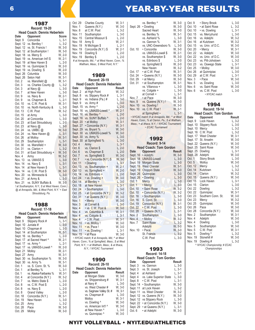| 1987                                             |                              |                      |  |
|--------------------------------------------------|------------------------------|----------------------|--|
| <b>Record: 19-20</b>                             |                              |                      |  |
|                                                  | Head Coach: Dennis Heberlein |                      |  |
| Date                                             | Opponent                     | <b>Score</b>         |  |
| Sept. 9                                          | Concordia                    | $L, 3-1$             |  |
| Sept. 12                                         | vs. Bentley !                | $L, 3-2$             |  |
| Sept. 12                                         | vs. St. Francis!             | W, 3-0               |  |
| Sept. 12                                         | at Southampton !             | W, 3-0<br>W, 2-0     |  |
| Sept. 18                                         | vs. Mercy \$                 |                      |  |
| Sept. 19                                         | vs. American Int'l \$        | W, 2-1               |  |
| Sept. 19                                         | at New Haven \$              | $L, 2-0$             |  |
| Sept. 19                                         | vs. Quinnipiac \$            | W, 2-0               |  |
| Sept. 19                                         | vs. Dowling \$               | $W, 2-0$             |  |
| Sept. 26                                         | Columbia                     | W, 3-0               |  |
| Sept. 26                                         | Seton Hall                   | W, 3-1               |  |
| Oct. 2                                           | vs. Mansfield @              | W, 3-1               |  |
| Oct. 3                                           | vs. Charles County @         | $L, 3-2$             |  |
| Oct. 3                                           | at Navy @                    | $L, 3-0$             |  |
| Oct. 7                                           | at New Haven                 | $L, 3-0$             |  |
| Oct. 9                                           | vs. Navy &                   | W, 2-1               |  |
| Oct. 9                                           | vs. Chapman &                | $L, 2-1$             |  |
| Oct. 10                                          | vs. C.W. Post &              | W, 3-1               |  |
| Oct. 10                                          | vs. North Kentucky &         | $L, 3-0$             |  |
| Oct. 13                                          | C.W. Post                    | W, 3-2               |  |
| Oct. 15                                          | at Army                      | L, 3-0               |  |
| Oct. 20<br>Oct. 23                               | at Concordia                 | $L, 3-0$<br>$L, 2-0$ |  |
|                                                  | at East Stroudsburg          |                      |  |
| Oct. 23<br>Oct. 24                               | at Navy @<br>vs. UMBC @      | $L, 3-0$<br>W, 3-0   |  |
| Oct. 24                                          | vs. New Haven @              | $L, 3-1$             |  |
| Oct. 26                                          | at Molloy                    | W, 3-1               |  |
| Oct. 29                                          | Southampton                  | $L, 3-1$             |  |
| Oct. 30                                          | vs. Mansfield +              | W, 3-0               |  |
| Oct. 31                                          | vs. Clarion +                | L, 3-2               |  |
| Oct. 31                                          | at East Stroudsburg +        | W, 3-0               |  |
| Nov. 4                                           | Army                         | W, 3-2               |  |
| Nov. 13                                          | vs. UMASS \$                 | $L, 3-0$             |  |
| Nov. 14                                          | vs. Navy \$                  | $L, 3-1$             |  |
| Nov. 14                                          | at New Haven \$              | L, 3-1               |  |
| Nov. 14                                          | vs. C.W. Post \$             | W, 3-0               |  |
| Nov. 20                                          | vs. Minnesota &              | $L, 3-0$             |  |
| Nov. 21                                          | at Army &                    | $L, 3-0$             |  |
| Nov. 21                                          | vs. SUNY Buffalo &           | W, 3-0               |  |
| ! at Southampton, N.Y.; \$ at West Haven, Conn.; |                              |                      |  |
| @ at Annapolis, Md.; & West Point, N.Y.' + East  |                              |                      |  |
| Stroudsburg, Pa.                                 |                              |                      |  |

| <b>Record: 17-18</b> |                                     |          |  |
|----------------------|-------------------------------------|----------|--|
|                      | <b>Head Coach: Dennis Heberlein</b> |          |  |
| Date                 | Opponent                            | Result   |  |
| Sept. 9              | Slippery Rock #                     | $L, 3-1$ |  |
| Sept. 10             | Juniata #                           | $L, 3-0$ |  |
| Sept. 10             | Chapman#                            | $L, 3-0$ |  |
| Sept. 14             | at Southampton                      | W, 3-1   |  |
| Sept. 16             | vs. Bentley ^                       | $L, 2-0$ |  |
| Sept. 17             | at Sacred Heart ^                   | W, 2-1   |  |
| Sept. 17             | vs. Army ^                          | $L, 2-1$ |  |
| Sept. 17             | vs. UMASS-Lowell ^                  | W, 2-0   |  |
| Sept. 21             | Molloy                              | W. 2-1   |  |
| Sept. 27             | Army                                | W. 3-1   |  |
| Sept. 30             | vs. Southampton %                   | W, 3-0   |  |
| Sept. 30             | vs. Army %                          | W, 3-1   |  |
| Oct. 1               | vs. S. Conn. St. %                  | W, 3-0   |  |
| Oct. 1               | at Bentley %                        | $L, 3-1$ |  |
| Oct. 1               | vs. Alaska-Fairbanks %              | W, 3-1   |  |
| Oct. 4               | at Concordia (N.Y.)                 | W, 3-2   |  |
| Oct. 7               | vs. Metro State \$                  | $L, 2-0$ |  |
| Oct. 8               | vs. C.W. Post \$                    | $L, 2-0$ |  |
| Oct. 8               | vs. Navy \$                         | $L, 2-0$ |  |
| Oct. 8               | <b>Grand Valley</b>                 | $L, 2-0$ |  |
| Oct. 18              | Concordia (N.Y.)                    | W, 3-1   |  |
| Oct. 19              | New Haven                           | $L, 3-0$ |  |
| Oct. 25              | Army                                | $L, 3-2$ |  |
| Oct. 28              | Pace                                | W, 3-0   |  |
| Oct. 29              | Molloy                              | W, 3-0   |  |

| Oct. 29          | <b>Charles County</b>                             | W, 3-1                |
|------------------|---------------------------------------------------|-----------------------|
| Nov. 1           | Queens (N.Y.)                                     | W, 3-0                |
| Nov. 8           | at C.W. Post                                      | $L, 3-2$              |
| Nov. 11          | Southampton                                       | L, 3-0                |
| Nov. 15          | Central Missouri \$                               | $L, 2-0$              |
| Nov. 18          | Army \$                                           | W, 2-1                |
| Nov. 19          | N Michigan \$                                     | L, 2-1                |
| Nov. 19          | Concordia (N.Y.) \$                               | W, 2-1                |
| Nov. 19          | Dowling \$                                        | L, 2-0                |
| Nov. 19          | Bentley \$                                        | $L, 2-0$              |
|                  | # at Annapolis, Md.; ^ at West Haven, Conn.; %    |                       |
|                  | Waltham, Mass.; \$ West Point, N.Y.'              |                       |
|                  |                                                   |                       |
|                  |                                                   |                       |
|                  | 1989                                              |                       |
|                  | <b>Record: 20-19</b>                              |                       |
|                  | Head Coach: Dennis Heberlein                      |                       |
| Date             | Opponent                                          | Result                |
| Sept. 2          | at High Point                                     | W, 3-2                |
| Sept. 8          | vs. Slippery Rock #                               | L, 3-1                |
| Sept. 9          | vs. Indiana (Pa.) #                               | $L, 3-0$              |
| Sept. 9          | vs. Army #                                        | $L, 3-0$              |
| Sept. 15         | vs. Army ^                                        | $L, 2-0$              |
| Sept. 16         | vs. UMASS-Lowell ^                                | W, 2-1                |
| Sept. 16         | vs. Bentley ^                                     | $L, 2-0$              |
| Sept. 16         | vs. SUNY Buffalo ^                                | $L, 2-0$              |
| Sept. 20         | • at Molloy                                       | W, 3-1                |
| Sept. 27         | • Concordia (N.Y.)                                | W, 3-1                |
| Sept. 29         | vs. Bryant %                                      | W, 3-0                |
| Sept. 30         | vs. UMASS-Lowell %                                | W, 3-0                |
| Sept. 30         | vs. Army %                                        | $L, 3-0$              |
| Sept. 30         | at Springfield %                                  | L, 3-0                |
| Oct. 4           | Army                                              | $L, 3-1$              |
| Oct. 6           | vs. Clarion \$                                    | $L, 2-0$              |
| Oct. 6           | vs. Chapman \$                                    | $L, 2-0$              |
| Oct. 7           | vs. Springfield \$                                | W, 3-0                |
| Oct. 7           | · vs. Concordia (N.Y.) \$                         | $W$ , 3-0<br>L, 3-1   |
| Oct. 11          | • Dowling                                         |                       |
| Oct. 13          | vs. Southampton +                                 | W, 2-1                |
| Oct. 13          | vs. Springfield +                                 | $W, 2-0$              |
| Oct. 14          | vs. Edinboro +                                    | $L, 2-0$              |
| Oct. 24          | • vs. Dowling +                                   | W, 3-0                |
| Oct. 14          | at Bentley +                                      | $L, 3-0$              |
| Oct. 18          | at New Haven                                      | $\frac{1}{3}$ .       |
| Oct. 24          | • Southampton                                     | $L, 3-0$              |
| Oct. 25          | · at Concordia (N.Y.)                             | W, 3-2                |
| Oct. 31          | · at Queens (N.Y.)                                | W, 3-0                |
| Nov. 1<br>Nov. 3 | • Mercy                                           | W, 3-0                |
|                  | at Cornell &<br>. vs. C.W. Post &                 | $L, 3-0$              |
| Nov. 4<br>Nov. 4 | vs. Columbia &                                    | W, 3-0<br>W.<br>$3-1$ |
| Nov. 4           | vs. Colgate &                                     | $L, 3-1$              |
| Nov. 4           | • C.W. Post                                       | $3-1$<br>W,           |
| Nov. 10          | · vs. Molloy!                                     |                       |
| Nov. 11          | · vs. Pace !                                      | W, 3-0<br>W, 3-0      |
| Nov. 11          | • vs. Dowling !                                   | L, 3-1                |
| Nov. 15          | • at Pace                                         | W, 3-0                |
|                  | • NYCAC match; # at Annapolis, Md.; ^ at West     |                       |
|                  | Haven, Conn.; % at Springfield, Mass.; \$ at West |                       |
|                  | Point, N.Y.; + at Waltham, Mass.; & at Ithaca,    |                       |
|                  | N.Y.; ! NYCAC Tournament                          |                       |
|                  |                                                   |                       |
|                  |                                                   |                       |

|                              | 1990                     |         |  |
|------------------------------|--------------------------|---------|--|
|                              | <b>Record: 26-10</b>     |         |  |
| Head Coach: Dennis Heberlein |                          |         |  |
| Date                         | Opponent                 | Result  |  |
|                              | at Morgan State          | W. 3-0  |  |
|                              | vs. Shippensburg #       | W. 3-1  |  |
|                              | at Navy #                | $L.3-0$ |  |
|                              | vs. West Chester #       | W. 3-0  |  |
|                              | vs. Saginaw Valley St. # | W. 3-1  |  |
|                              | vs. Chapman #            | $L.3-0$ |  |
|                              | Molloy                   | W. 3-1  |  |
|                              | vs. Dowling ^            | W. 3-0  |  |
|                              | vs. American Int'l ^     | W. 3-0  |  |
|                              | at New Haven ^           | L, 3-0  |  |
|                              | vs. Quinnipiac ^         | W. 3-0  |  |

|                | vs. Bentley ^                                   | W, 3-0   |
|----------------|-------------------------------------------------|----------|
| Sept. 26       | • Dowling                                       | W, 3-0   |
|                | Sacred Heart                                    | W, 3-0   |
|                | vs. Bentley %                                   | W, 3-1   |
|                | vs. Ashland %                                   | $L, 3-0$ |
|                | vs. Gannon %                                    | W. 3-1   |
|                | vs. UNC-Greensboro %                            | $L, 3-0$ |
| Oct. 10        | • Concordia                                     | W. 3-0   |
|                | vs. UMASS-Lowell \$                             | W, 2-1   |
|                | vs. Southampton \$                              | W, 3-0   |
|                | vs. Edinboro \$                                 | $L, 2-0$ |
|                | vs. Springfield \$                              | W. 2-0   |
|                | New Haven                                       | W, 3-2   |
| Oct. 17        | • at C.W. Post                                  | W. 3-1   |
| Oct. 24        | • Queens (N.Y.)                                 | W. 3-0   |
| Oct. 29        | • at Mercy                                      | W, 3-0   |
| Oct. 31        | • at Southampton                                | W, 3-1   |
|                | vs. Villanova +                                 | $L, 3-0$ |
|                | vs. Colgate +                                   | $L, 3-0$ |
|                | at Cornell +                                    | $L, 3-1$ |
| Nov. 7         | • at Pace                                       | W, 3-0   |
| Nov. 9         | vs. Queens (N.Y.) !                             | W, 3-0   |
| Nov. 10        | vs. Dowling !                                   | W. 3-0   |
| <b>Nov. 10</b> | vs. C.W. Post!                                  | W. 3-1   |
|                | at Springfield ~                                | $L, 3-1$ |
|                | • NYCAC match; # at Annapolis, Md.; ^ at West   |          |
|                | Haven, Conn.; % at Clarion, Pa.; \$ at Waltham, |          |
|                | Mass.; + at Ithaca, N.Y.; ! NYCAC Tournament;   |          |
|                | $\sim$ ECAC Tournament                          |          |
|                |                                                 |          |

#### 1992

| <b>Record: 9-14</b><br><b>Head Coach: Tom Gordon</b> |                          |          |  |  |
|------------------------------------------------------|--------------------------|----------|--|--|
|                                                      |                          |          |  |  |
| Sept. 16                                             | • Adelphi                | W. 3-0   |  |  |
| Sept. 18                                             | <b>UMASS-Lowell</b>      | $L, 3-0$ |  |  |
| Sept. 19                                             | Morgan State             | $L, 3-0$ |  |  |
| Sept. 19                                             | <b>West Chester</b>      | W. 3-1   |  |  |
| Sept. 19                                             | Choppin State            | W, 3-0   |  |  |
| Sept. 26                                             | Quinnipiac               | $L, 3-0$ |  |  |
| Sept. 26                                             | • Dowling                | $L, 3-0$ |  |  |
| Oct. 1                                               | <b>Mercy</b>             | L, 3-0   |  |  |
| Oct. 1                                               | • Mercy                  | $L, 3-0$ |  |  |
| Oct. 10                                              | · Saint Rose             | W. 3-2   |  |  |
| Oct. 10                                              | • Concordia (N.Y.)       | W. 3-2   |  |  |
| Oct. 16                                              | · Southampton            | $L, 3-0$ |  |  |
| Oct. 16                                              | S. Conn. St.             | $L, 3-0$ |  |  |
| Oct. 19                                              | Concordia (N.Y.)         | $W, 3-1$ |  |  |
| Oct. 22                                              | • C.W. Post              | $L, 3-0$ |  |  |
| Oct. 28                                              | · Queens (N.Y.)          | $L, 2-1$ |  |  |
| Nov. 2                                               | Southampton              | $L, 3-0$ |  |  |
| Nov. 4                                               | • Molloy                 | W. 3-2   |  |  |
| Nov. 7                                               | <b>Saint Rose</b><br>TM. | $L, 3-2$ |  |  |
|                                                      | Adelphi                  | W. 3-0   |  |  |
| Nov. 10                                              | • Pace                   | W, 3-0   |  |  |
|                                                      | St. Francis              | $L, 3-2$ |  |  |
|                                                      | C.W. Post                | $L, 3-0$ |  |  |

#### 1993

| <b>Record: 14-18</b> |                               |          |  |
|----------------------|-------------------------------|----------|--|
|                      | <b>Head Coach: Tom Gordon</b> |          |  |
| Date                 | Opponent                      | Result   |  |
| Sept. 3              | vs. Gannon                    | L, 3-0   |  |
| Sept. 3              | vs. St. Joseph                | $L, 3-1$ |  |
| Sept. 4              | at Ashland                    | L. 3-1   |  |
| Sept. 4              | vs. Lake Superior State       | $L, 3-0$ |  |
| Sept. 8              | • C.W. Post                   | $L, 3-1$ |  |
| Sept. 14             | • Southampton                 | W. 3-0   |  |
| Sept. 11             | at Lock Haven                 | $L.3-2$  |  |
| Sept. 11             | vs. West Chester              | W. 3-2   |  |
| Sept. 12             | vs. Queens (N.Y.)             | W. 3-0   |  |
| Sept. 12             | vs Slippery Rock              | $L.3-0$  |  |
| Sept. 22             | • at Concordia (N.Y.)         | W. 3-0   |  |
| Sept. 29             | • at Queens (N.Y.)            | $L, 3-1$ |  |
| Oct. 6               | • at Adelphi                  | W. 3-0   |  |

| Oct. 9<br>Oct. 10<br>Oct. 10<br>Oct. 15<br>Oct. 16<br>Oct. 16<br>Oct. 15<br>Oct. 20<br>Oct. 22<br>Oct. 22<br>Oct. 23<br>Oct. 23<br>Oct. 25<br>Oct. 26<br>Oct. 29<br>Nov. 3<br>Nov. 5<br>Nov. 6 | • Stony Brook<br>• at Saint Rose<br>• vs. Dowling<br>vs. Mercyhurst<br>vs. Adelphi<br>at Kutztown<br>vs. Univ. of D.C.<br>• Mercy<br>vs. Adelphi<br>vs. Univ. of D.C.<br>vs. Pitt-Johstown<br>vs. Oswego State<br>• Molloy<br>at Quinnipiac<br>at C.W. Post<br>• Pace<br>vs. Dowling<br>vs. Saint Rose | $L, 3-0$<br>$L, 3-2$<br>$L, 3-1$<br>L, 3-0<br>W. 3-2<br>W. 3-2<br>W. 3-0<br>W. 3-1<br>W. 3-0<br>W. 3-0<br>$L, 3-2$<br>$L, 3-1$<br>W. 3-0<br>L, 3-0<br>L. 3-1<br>W. 3-0<br>L, 3-0 |
|------------------------------------------------------------------------------------------------------------------------------------------------------------------------------------------------|--------------------------------------------------------------------------------------------------------------------------------------------------------------------------------------------------------------------------------------------------------------------------------------------------------|----------------------------------------------------------------------------------------------------------------------------------------------------------------------------------|
|                                                                                                                                                                                                |                                                                                                                                                                                                                                                                                                        |                                                                                                                                                                                  |
|                                                                                                                                                                                                |                                                                                                                                                                                                                                                                                                        | W, 3-0                                                                                                                                                                           |
| Nov. 6                                                                                                                                                                                         | vs. C.W. Post                                                                                                                                                                                                                                                                                          | L, 3-0                                                                                                                                                                           |
|                                                                                                                                                                                                | • NYCAC match                                                                                                                                                                                                                                                                                          |                                                                                                                                                                                  |

#### 1994 **Record: 19-14**

| <b>Head Coach: Tom Gordon</b> |                            |          |  |
|-------------------------------|----------------------------|----------|--|
| Date                          | Opponent                   | Result   |  |
| Sept. 9                       | Lock Haven                 | $L, 3-2$ |  |
| Sept. 10                      | <b>Slippery Rock</b>       | $L, 3-0$ |  |
| Sept. 10                      | Mercy                      | $L, 3-2$ |  |
| Sept. 16                      | C.W. Post                  | $L, 3-2$ |  |
| Sept. 17                      | <b>West Chester</b>        | W, 3-1   |  |
| Sept. 17                      | St. Anselm                 | W, 3-0   |  |
| Sept. 22                      | Queens (N.Y.)              | W, 3-0   |  |
| Sept. 25                      | Saint Rose                 | W, 3-0   |  |
| Sept. 25                      | Dowling                    | $L, 3-1$ |  |
| Sept. 28                      | Adelphi                    | W, 3-0   |  |
| Oct. 1                        | <b>Stony Brook</b>         | $L, 3-0$ |  |
| Oct. 5                        | Molloy                     | W, 3-0   |  |
| Oct. 12                       | Mercy                      | $L, 3-2$ |  |
| Oct. 14                       | Kutztown                   | $L, 3-2$ |  |
| Oct. 14                       | Clarion                    | W, 3-2   |  |
| Oct. 15                       | Queens (N.Y.)              | W, 3-0   |  |
| Oct. 15                       | Lock Haven                 | L, 3-1   |  |
| Oct. 15                       | Clarion                    | L, 3-0   |  |
| Oct. 22                       | Dowling                    | $L, 3-2$ |  |
| Oct. 22                       | Quinnipiac                 | W, 3-1   |  |
| Oct. 23                       | Southern Conn. St.         | W, 3-0   |  |
| Oct. 23                       | Mercy                      | W, 3-2   |  |
| Oct. 25                       | Quinnipiac                 | W, 3-0   |  |
| Oct. 26                       | Pace                       | W, 3-0   |  |
| Oct. 28                       | Concordia (N.Y.)           | W, 3-0   |  |
| Nov. 2                        | Southampton                | W, 3-1   |  |
| Nov. 4                        | Adelphi                    | W, 3-0   |  |
| Nov. 4                        | Dowling                    | $L, 3-0$ |  |
| Nov. 5                        | Southampton                | W, 3-0   |  |
| Nov. 5                        | C.W. Post                  | W, 3-1   |  |
| Nov. 5                        | Dowling ^                  | $L, 3-2$ |  |
| Nov. 19                       | Stonehill #                | W, 3-0   |  |
| Nov. 19                       | Dowling #                  | $L, 3-2$ |  |
|                               | NYCAC Championship; # ECAC |          |  |
|                               | Championships              |          |  |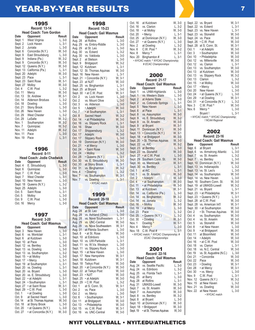## **YEAR-BY-YEAR RESULTS 7 7**

| 1995                 |                               |                  |  |
|----------------------|-------------------------------|------------------|--|
|                      | <b>Record: 13-14</b>          |                  |  |
|                      | <b>Head Coach: Tom Gordon</b> |                  |  |
| Date                 | Opponent                      | Result           |  |
| Sept. 1              | West Virginia                 | L. 3-0           |  |
| Sept. 2              | Lock Haven                    | L, 3-1           |  |
| Sept. 2              | Juniata                       | $L, 3-0$         |  |
| Sept. 6              | Concordia (N.Y.)              | W, 3-0           |  |
| Sept. 9              | East Stroudsburg              | $L, 3-0$         |  |
| Sept. 9              | Indiana (Pa.)                 | W, 3-2           |  |
| Sept. 9              | Concordia (N.Y.)              | W, 3-0           |  |
| Sept. 12             | Queens (N.Y.)                 | W, 3-0           |  |
| Sept. 13             | California (Pa.)              | $L, 3-1$         |  |
| Sept. 20             | Adelphi                       | W. 3-0           |  |
| Sept. 23             | Pace                          | $L, 3-1$         |  |
| Sept. 23<br>Sept. 27 | Saint Rose                    | W, 3-1<br>W, 3-0 |  |
| Oct. 4               | Molloy<br>C.W. Post           | $L, 3-2$         |  |
| Oct. 11              | Mercy                         | W, 3-0           |  |
| Oct. 13              | St. Andrew                    | W, 3-1           |  |
| Oct. 14              | <b>Alderson Broduss</b>       | $L, 3-2$         |  |
| Oct. 18              | Dowling                       | $L, 3-0$         |  |
| Oct. 21              | <b>Stony Brook</b>            | L, 3-0           |  |
| Oct. 26              | New Haven                     | $L, 3-0$         |  |
| Oct. 29              | <b>West Chester</b>           | $L, 3-2$         |  |
| Oct. 29              | LaSalle                       | W, 3-2           |  |
| Nov. 1               | Southampton                   | W. 3-2           |  |
| Nov. 7               | Quinnipiac                    | W, 3-2           |  |
| Nov. 11              | Adelphi                       | W, 3-2           |  |
| Nov. 11              | Pace                          | $L, 3-0$         |  |
| Nov. 19              | Pace                          | $L, 3-1$         |  |

| M.<br>۰, | ۰. | v.<br>۰. |  |
|----------|----|----------|--|
|          |    |          |  |

| Record: 0-11 |                                   |          |  |
|--------------|-----------------------------------|----------|--|
|              | <b>Head Coach: Jodie Chadwick</b> |          |  |
| Date         | Opponent                          | Result   |  |
| Sept. 4      | E. Stroudsburg                    | $L.3-0$  |  |
| Sept. 6      | Quinnipiac                        | $L, 3-0$ |  |
| Sept. 7      | C.W. Post                         | $L.3-0$  |  |
| Sept. 7      | <b>West Chester</b>               | $L, 3-1$ |  |
| Sept. 10     | New Haven                         | L, 3-0   |  |
| Sept. 18     | Queens (N.Y.)                     | L. 3-2   |  |
| Sept. 25     | Adelphi                           | $L, 3-0$ |  |
| Oct. 5       | Saint Rose                        | $L.3-1$  |  |
| Oct. 5       | Molloy                            | L, 3-0   |  |
| Oct. 9       | C.W. Post                         | $L, 3-0$ |  |
| Oct. 16      | Mercy                             | $L, 3-0$ |  |

| 1997     |                                |          |  |
|----------|--------------------------------|----------|--|
|          | <b>Record: 3-20</b>            |          |  |
|          | <b>Head Coach: Gail Wasmus</b> |          |  |
| Date     | Opponent                       | Result   |  |
| Sept. 3  | New Haven                      | $L, 3-0$ |  |
| Sept. 6  | vs. Montclair                  | $L, 3-1$ |  |
| Sept. 6  | at Kutztown                    | $L, 3-0$ |  |
| Sept. 10 | at Pace                        | $L, 3-0$ |  |
| Sept. 12 | vs. Bentley                    | $L, 3-0$ |  |
| Sept. 13 | vs. Dowling                    | $L, 3-0$ |  |
| Sept. 13 | vs. Southampton                | $L, 3-2$ |  |
| Sept. 15 | • at Molloy                    | $L, 3-0$ |  |
| Sept. 17 | • Mercy                        | L. 3-1   |  |
| Sept. 19 | at Southampton                 | $L, 3-1$ |  |
| Sept. 20 | vs. Dowling                    | $L, 3-1$ |  |
| Sept. 20 | vs. Bryant                     | $L, 3-0$ |  |
| Sept. 20 | vs. E. Stroudsburg             | $L, 3-0$ |  |
| Sept. 22 | • at Adelphi                   | $L, 3-1$ |  |
| Sept. 24 | • Southampton                  | $L, 3-1$ |  |
| Sept. 27 | • at Saint Rose                | W, 3-1   |  |
| Sept. 29 | • C.W. Post                    | $L, 3-0$ |  |
| Oct. 1   | • at Dowling                   | $L, 3-0$ |  |
| Oct. 9   | at Sacred Heart                | $L, 3-0$ |  |
| Oct. 14  | at St. Thomas Aquinas          | W, 3-0   |  |
| Oct. 18  | at Stony Brook                 | $L, 3-0$ |  |
| Oct. 20  | • at Queens (N.Y.)             | $L, 3-0$ |  |
| Oct. 27  | • at Concordia (N.Y.)          | W. 3-0   |  |

| 1998     |                                                        |               |  |  |  |
|----------|--------------------------------------------------------|---------------|--|--|--|
|          | <b>Record: 15-23</b><br><b>Head Coach: Gail Wasmus</b> |               |  |  |  |
| Date     | Opponent                                               | Result        |  |  |  |
| Aug. 28  | at Rollins                                             | L, 3-0        |  |  |  |
| Aug. 29  | vs. Embry-Riddle                                       | $L, 3-0$      |  |  |  |
| Aug. 29  | at St. Leo                                             | $L, 3-0$      |  |  |  |
| Aug. 30  | vs. Eckerd                                             | $L, 3-2$      |  |  |  |
| Aug. 30  | vs. Valdosta                                           | $L, 3-0$      |  |  |  |
| Sept. 2  | at Stetson                                             | $L, 3-0$      |  |  |  |
| Sept. 9  | Bridgeport                                             | W, 3-2        |  |  |  |
| Sept. 12 | Kutztown                                               | $L, 3-1$      |  |  |  |
| Sept. 12 | St. Thomas Aquinas                                     | W, 3-0        |  |  |  |
| Sept. 16 | New Haven                                              | $L, 3-1$      |  |  |  |
| Sept. 21 | • Concordia (N.Y.)                                     | W, 3-1        |  |  |  |
| Sept. 23 | at NJIT                                                | W, 3-0        |  |  |  |
| Sept. 25 | vs. Binghamton                                         | $L, 3-1$      |  |  |  |
| Sept. 25 | at Bryant                                              | $L, 3-0$      |  |  |  |
| Sept. 30 | • at C.W. Post                                         | W, 3-1        |  |  |  |
| Oct. 2   | vs. Lock Haven                                         | $L, 3-0$      |  |  |  |
| Oct. 2   | vs. Mount Olive                                        | $L, 3-0$      |  |  |  |
| Oct. 3   | vs. Alderson                                           | L, 3-0        |  |  |  |
| Oct. 5   | · Adelphi                                              | W, 3-0        |  |  |  |
| Oct. 7   | · at Southampton                                       | $L, 3-1$      |  |  |  |
| Oct. 8   | <b>Sacred Heart</b>                                    | W, 3-2        |  |  |  |
| Oct. 14  | • at Philadelphia                                      | W, 3-0        |  |  |  |
| Oct. 16  | vs. Slippery Rock                                      | $L, 3-1$      |  |  |  |
| Oct. 16  | Shaw                                                   | W, 3-0        |  |  |  |
| Oct. 17  | Shippensburg                                           |               |  |  |  |
|          |                                                        | $L, 3-2$      |  |  |  |
| Oct. 17  | Adelphi                                                | W, 3-0        |  |  |  |
| Oct. 17  | <b>Slippery Rock</b>                                   | $L, 3-0$      |  |  |  |
| Oct. 19  | Dominican (N.Y.)                                       | W, 3-0        |  |  |  |
| Oct. 21  | • at Mercy                                             | $L, 3-0$      |  |  |  |
| Oct. 24  | • Saint Rose                                           | W, 3-0        |  |  |  |
| Oct. 24  | • Molloy                                               | $L, 3-2$      |  |  |  |
| Oct. 28  | · Queens (N.Y.)                                        | $L, 3-1$      |  |  |  |
| Oct. 30  | vs. E. Stroudsbu <mark>r</mark> g                      | W, 3-0        |  |  |  |
| Oct. 30  | at Stony Brook                                         | $L, 3-1$      |  |  |  |
| Oct. 31  | vs. Binghamton                                         | W, 3-2        |  |  |  |
| Nov. 4   | • Dowling                                              | $L, 3-2$      |  |  |  |
| Nov. 7   | vs. Southampton                                        | W, 3-1        |  |  |  |
| Nov. 7   | vs. Dowling                                            | $L, 3-1$      |  |  |  |
|          | • NYCAC match                                          |               |  |  |  |
|          |                                                        |               |  |  |  |
|          |                                                        |               |  |  |  |
|          | 1999                                                   |               |  |  |  |
|          | <b>Record: 20-18</b>                                   |               |  |  |  |
|          | <b>Head Coach: Gail Wasmus</b>                         |               |  |  |  |
| Date     | Opponent                                               | <b>Result</b> |  |  |  |
| Aug. 28  | at St. Leo                                             | $L, 3-0$      |  |  |  |
| Aug. 28  | vs. Ashland (Ohio)                                     | $L, 3-0$      |  |  |  |
| Aug. 28  | vs. Nova Southeastern                                  | $L, 3-1$      |  |  |  |
| Aug. 29  | vs. UNC-Central                                        | W, 3-0        |  |  |  |
| Aug. 29  | vs. Nova Southeastern                                  | W, 3-1        |  |  |  |
| Aug. 31  | at Florida Southern                                    | $L, 3-0$      |  |  |  |
| Sept. 8  | • at St. Rose                                          | W, 3-0        |  |  |  |
| Sept. 10 | at Edinboro                                            | $L, 3-0$      |  |  |  |
| Sept. 10 | vs. UW-Parkside                                        | $L, 3-1$      |  |  |  |
| Sept. 11 | vs. W.Va. Wesleyn                                      | $L, 3-0$      |  |  |  |
| Sept. 11 | vs. Slippery Rock                                      | $L, 3-0$      |  |  |  |
| Sept. 15 | • at New Haven                                         | $L, 3-0$      |  |  |  |
| Sept. 17 | New Hampshire                                          | W, 3-1        |  |  |  |
| Sept. 18 | Kutztown                                               | W, 3-1        |  |  |  |
| Sept. 18 | Teikyo Post                                            | W, 3-0        |  |  |  |
| Sept. 20 | • at Concordia (N.Y.)                                  | W, 3-0        |  |  |  |
| Sept. 22 | at Teikyo Post                                         | W, 3-0        |  |  |  |
| Sept. 23 | • NJIT                                                 | W, 3-0        |  |  |  |
| Sept. 25 | • at Adelphi                                           | W, 3-0        |  |  |  |
| Sept. 29 | • C.W. Post                                            | $L, 3-2$      |  |  |  |
| Oct. 1   | at S. Conn. St.                                        | W, 3-1        |  |  |  |
| Oct. 2   | vs. Pace                                               | $L, 3-0$      |  |  |  |
| Oct. 2   | vs. Mercy                                              | L, 3-0        |  |  |  |
| Oct. 6   | • Southampton                                          | W, 3-1        |  |  |  |
| Oct. 11  | at Bridgeport                                          | W, 3-0        |  |  |  |
| Oct. 13  | • Philadelphia                                         | W, 3-0        |  |  |  |
| Oct. 15  | vs. C.W. Post                                          | W, 3-1        |  |  |  |
| Oct. 16  | vs. UNC-Central                                        | W, 3-0        |  |  |  |
|          |                                                        |               |  |  |  |

| Oct. 16<br>Oct. 16<br>Oct. 18<br>Oct. 20<br>Oct. 25 | at Kutztown<br>vs. Clarion<br>• at Molloy<br>• Mercy<br>at Dominican (N.Y.) | W, 3-0<br>L, 3-2<br>W, 3-0<br>$L, 3-1$ |
|-----------------------------------------------------|-----------------------------------------------------------------------------|----------------------------------------|
| Oct. 27<br>Nov. 2                                   | • at Queens (N.Y.)<br>at Dowling                                            | W, 3-0<br>$L, 3-0$<br>$L, 3-2$         |
| Nov. 6<br>Nov. 8                                    | C.W. Post ^<br>Mercy ^                                                      | W, 3-2<br>$L, 3-1$                     |
| Nov. 20                                             | Binghamton #                                                                | $L, 3-1$                               |
|                                                     | • NYCAC match; ^ NYCAC Championship;<br># ECAC Championships                |                                        |
|                                                     | 2000<br><b>Record: 21-17</b>                                                |                                        |
|                                                     | <b>Head Coach: Gail Wasmus</b>                                              |                                        |
| Date<br>Sept. 1                                     | Opponent<br>vs. UNM-Highlands                                               | Result<br>L, 3-0                       |
| Sept. 1                                             | vs. Western State                                                           | L, 3-0                                 |
| Sept. 2                                             | at Adams State                                                              | $L, 3-0$                               |
| Sept. 2<br>Sept. 5                                  | vs. Colorado Springs<br><b>New Haven</b>                                    | $L, 3-1$<br>$L, 3-0$                   |
| Sept. 6                                             | at Pace                                                                     | $L, 3-1$                               |
| Sept. 8                                             | vs. Assumption                                                              | W, 3-0                                 |
| Sept. 9<br>Sept. 9                                  | vs. E. Stroudsburg<br>vs. St. Anselm                                        | W, 3-2<br>W, 3-0                       |
| Sept. 9                                             | at Bryant                                                                   | W, 3-1                                 |
| Sept. 11                                            | Dominican (N.Y.)                                                            | W, 3-0                                 |
| Sept. 13<br>Sept. 18                                | · Concordia (N.Y.)<br>• at Bridgeport                                       | W, 3-1<br>W, 3-0                       |
| Sept. 20                                            | · St. Thomas Aquinas                                                        | W, 3-0                                 |
| Sept. 22                                            | vs. AIC                                                                     | W, 3-2                                 |
| Sept. 23<br>Sept. 23                                | at Bentley<br>vs. Stonehill                                                 | $L, 3-0$<br>W, 3-0                     |
| Sept. 27                                            | · at C.W. Post                                                              | $L, 3-0$                               |
| Sept. 29                                            | Southern Conn. St.                                                          | W, 3-0                                 |
| Sept. 30<br>Sept. 30                                | vs. Merrimack<br>vs. Bentley                                                | W, 3-1<br>$L, 3-1$                     |
| Oct. 1                                              | at AIC                                                                      | $L, 3-1$                               |
| Oct. 1                                              | vs. St. Anselm                                                              | W, 3-0                                 |
| Oct. 2                                              | • Adelphi                                                                   | W, 3-0<br>W, 3-0                       |
| Oct. 4<br>Oct. 11                                   | • at Southampton<br>· at Philadelphia                                       | W, 3-0                                 |
| Oct. 13                                             | at Kutztown                                                                 | W, 3-1                                 |
| Oct. 14<br>Oct. 14                                  | vs. California (Pa.)                                                        | $L, 3-0$                               |
| Oct. 14                                             | vs. Binghamton<br>vs. Juniata                                               | W. 3-2<br>$L, 3-2$                     |
| Oct. 16                                             | • Molloy                                                                    | W, 3-0                                 |
| Oct. 19<br>Oct. 23                                  | • at Mercy                                                                  | $L, 3-0$<br>$L, 3-2$                   |
| Oct. 25                                             | Pace<br>· Queens (N.Y.)                                                     | $L, 3-2$                               |
| Oct. 30                                             | • Dowling                                                                   | $W, 3-1$                               |
| Nov. 1                                              | Dowling ^                                                                   | W, 3-1<br>$L, 3-0$                     |
| Nov. 4<br>Nov. 18                                   | Mercy ^<br>C.W. Post #                                                      | $L, 3-1$                               |
|                                                     | • NYCAC match; ^ NYCAC Championship; #                                      |                                        |
|                                                     | <b>ECAC Championships</b>                                                   |                                        |
|                                                     | 2001<br><b>Record: 22-16</b>                                                |                                        |
|                                                     | <b>Head Coach: Gail Wasmus</b>                                              |                                        |
| Date                                                | Opponent                                                                    | Result                                 |
| Aug. 24                                             | vs. Seattle Pacific<br>vs. Edinboro                                         | $L, 3-0$                               |
| Aug. 24<br>Aug. 25                                  | vs. Florida Tech                                                            | $L, 3-2$<br>L, 3-1                     |
| Aug. 25                                             | at Barry                                                                    | $L, 3-0$                               |
| Aug. 28                                             | at Rollins                                                                  | L, 3-1                                 |
| Aug. 31<br>Sept. 7                                  | UMASS-Lowell<br>vs. St. Anselm                                              | W, 3-0<br>W, 3-0                       |
| Sept. 7                                             | vs. Assumption                                                              | W, 3-0                                 |
| Sept. 8                                             | vs. Bentley                                                                 | W, 3-2                                 |

Sept. 8 vs. Bentley W, 3-2<br>
Sept. 8 at Bryant L, 3-0<br>
Sept. 10 at Dominican (N.Y.) W, 3-0 at Bryant

Sept. 10 at Dominican (N.Y.) W, 3-0<br>Sept. 18 • Bridgeport W, 3-0 Sept. 18 • Bridgeport W, 3-0 Sept. 19 • at St. Thomas Aquinas W, 3-0

| Sept. 22        | vs. Bryant                           | W, 3-1   |
|-----------------|--------------------------------------|----------|
| Sept. 22        | vs. Eckerd                           | L. 3-1   |
| Sept. 23        | vs. New Haven                        | $L, 3-1$ |
| Sept. 23        | vs. Stonehill                        | W, 3-0   |
| Sept. 24        | vs. Pace                             | W. 3-0   |
| Sept. 26        | • C.W. Post                          | W. 3-0   |
| Sept. 28        | at S. Conn. St.                      | W. 3-1   |
| Oct. 1          | • at Adelphi                         | W. 3-0   |
| Oct. 3          | • Southampton                        | W. 3-0   |
| Oct. 10         | • Philadelphia                       | W. 3-0   |
| Oct. 12         | vs. Millersville                     | W. 3-0   |
| Oct. 12         | vs. Clarion                          | $L, 3-1$ |
| Oct. 13         | vs. Southampton                      | W. 3-0   |
| Oct. 13         | at Kutztown                          | W. 3-0   |
| Oct. 13         | vs. Slippery Rock                    | W. 3-2   |
| Oct. 13         | Clarion                              | $L, 3-2$ |
| Oct. 15         | • at Molloy                          | W, 3-0   |
| Oct. 17         | • Mercy                              | $L, 3-0$ |
| Oct. 20         | New Haven                            | $L, 3-0$ |
| Oct. 24         | • at Queens (N.Y.)                   | $L, 3-0$ |
| Oct. 29         | • at Dowling                         | W, 3-1   |
| Oct. 31         | · at Concordia (N.Y.)                | $L, 3-2$ |
| Nov. 3          | C.W. Post ^                          | W, 3-0   |
| Nov. 6          | Mercy ^                              | $L, 3-0$ |
|                 | Bryant!                              | L. 3-1   |
|                 | • NYCAC match; ^ NYCAC Championship; |          |
| ! NCAA Regional |                                      |          |

#### 2002 **Record: 23-16**

| Head Coach: Gail Wasmus |                               |                    |  |
|-------------------------|-------------------------------|--------------------|--|
| Date                    | Opponent                      | Result             |  |
| Sept. 6                 | at Bryant                     | L, 3-1             |  |
| Sept. 6                 | vs. Armstrong Atlantic        | $L, 3-0$           |  |
| Sept. 7                 | vs. St. Anselm                | $L, 3-2$           |  |
| Sept. 7                 | vs. Bentley                   | $L, 3-0$           |  |
| Sept. 10                | Dominican (N.Y.)              | W, 3-0             |  |
| Sept. 13                | vs. Indianapolis              | $L, 3-2$           |  |
| Sept. 13                | vs. St. Leo's                 | $L, 3-0$           |  |
| Sept. 14                | vs. Southampton               | W, 3-0             |  |
| Sept. 14                | vs. New Haven                 | $L, 3-0$           |  |
| Sept. 16                | Southern Conn. St.            | $W, 3-0$           |  |
| Sept. 19                | at UMASS-Lowell               | W, 3-2             |  |
| Sept. 21                | vs. Bryant                    | $L, 3-1$           |  |
| Sept. 23                | · at Philadelphia             | W, 3-1             |  |
| Sept. 23                | • Queens (N.Y.)               | L, 3-1             |  |
| Sept. 28                | at C.W. Post                  | W, 3-0<br>W, 3-1   |  |
| Sept. 28                | vs. American Int'l            |                    |  |
| Sept. 30                | • at Southampton              | W, 3-0             |  |
| Oct. 2                  | · St. Thomas Aquinas          | W, 3-0             |  |
| Oct. 4                  | vs. Southampton               | W, 3-0<br>W, 3-0   |  |
| Oct. 4                  | vs. St. Anselm                |                    |  |
| Oct. 5                  | vs. Stonehill                 | W, 3-0             |  |
| Oct. 8                  | • at New Haven                | $L, 3-0$           |  |
| Oct. 9                  | • at Bridgeport               | W, 3-0<br>W, 3-0   |  |
| Oct. 11<br>Oct. 14      | at Bloomfield                 |                    |  |
|                         | • Adelphi                     | W, 3-0             |  |
| Oct. 16<br>Oct. 18      | • at C.W. Post<br>vs. Clarion | W, 3-0             |  |
| Oct. 18                 | vs. N.C. Central              | $L, 3-1$<br>W, 3-0 |  |
| Oct. 19                 | vs. St. Augustine (N.C.)      | $L, 3-0$           |  |
| Oct. 21                 | • Concordia                   |                    |  |
| Oct. 22                 | Pace                          | W, 3-0             |  |
| Oct. 23                 | • Dowling                     | W, 3-0<br>W, 3-1   |  |
| Oct. 28                 | • at Mercy                    | W, 3-1             |  |
| Oct. 30                 | • vs. Mercy                   | L, 3-0             |  |
| Nov. 9                  | C.W. Post                     |                    |  |
| Nov. 12                 | Queens (N.Y.)                 | $L, 3-1$<br>W, 3-2 |  |
| Nov. 15                 | at New Haven                  | $L, 3-2$           |  |
| Nov. 21                 | vs. Dowling                   | W, 3-0             |  |
| Nov. 22                 | at New Haven                  | $L, 3-0$           |  |
|                         | • NYCAC match                 |                    |  |
|                         |                               |                    |  |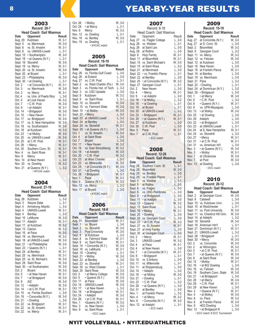## 8 **8 Example 2** YEAR-BY-YEAR RESULTS

| 2003                |                                   |                            |  |
|---------------------|-----------------------------------|----------------------------|--|
| <b>Record: 28-7</b> |                                   |                            |  |
|                     | <b>Head Coach: Gail Wasmus</b>    |                            |  |
| Date                | Opponent                          | <b>Result</b>              |  |
| Aug. 29             | Kutztown                          | W, 3-1                     |  |
| Sept. 5             | vs. Merrimack                     | W, 3-0                     |  |
| Sept. 6             | vs. St. Anselm                    | W, 3-1                     |  |
| Sept. 6             | vs. UMASS-Lowell                  | $L, 3-1$                   |  |
| Sept. 15            | • Southampton                     | W, 3-0                     |  |
| Sept. 18            | • at Queens (N.Y.)                | $L, 3-1$                   |  |
| Sept. 19            | Stonehill                         | W, 3-0                     |  |
| Sept. 19            | vs. Mercy                         | W, 3-1                     |  |
| Sept. 20            | vs. St. Anselm                    | W, 3-0                     |  |
| Sept. 20            | at Bryant                         | $L, 3-1$                   |  |
| Sept. 23            | · Philadelphia                    | W, 3-0                     |  |
| Sept. 30            | • at Dowling                      | $L, 3-1$                   |  |
| Oct. 2              | • at Concordia (N.Y.)             | W, 3-1                     |  |
| Oct. 3              | vs. Merrimack                     | W, 3-0                     |  |
| Oct. 3              | vs. Mercy                         | W, 3-1                     |  |
| Oct. 4              | vs. Univ. of Puerto Rico          | $L, 3-0$                   |  |
| Oct. 4              | at Lock Haven                     | W, 3-2<br>W, 3-0           |  |
| Oct. 7              | · C.W. Post                       |                            |  |
| Oct. 9              | • at Adelphi                      | W, 3-1                     |  |
| Oct. 14             | • Bridgeport                      | W, 3-0                     |  |
| Oct. 15             | • New Haven                       | W, 3-1                     |  |
| Oct. 17             | vs. Bridgeport                    | W, 3-0                     |  |
| Oct. 17             | vs. S. New Hampshire              | $W, 3-0$                   |  |
| Oct. 18             | vs. Southampton                   | W, 3-0<br>W, 3-0           |  |
| Oct. 18             | at Kutztown                       |                            |  |
| Oct. 23             | • at Molloy                       | W, 3-0                     |  |
| Oct. 25             | vs. UMASS-Lowell                  | W, 3-0                     |  |
| Oct. 25             | at C.W. Post                      | W, 3-1                     |  |
| Oct. 28             | • Mercy                           | W, 3-1                     |  |
| Oct. 30             | Southern Conn. St.                |                            |  |
| Nov. 4              | vs. Saint Rose                    | W, 3-1<br>W, 3-1<br>W, 3-1 |  |
| Nov. 8              | Mercy                             |                            |  |
| Nov. 14             | at New Haven                      | $L, 3-0$                   |  |
| Nov. 20             | vs. Dowling                       | W, 3-2                     |  |
| Nov. 21             | at Queens (N.Y.)<br>· NYCAC match | $L, 3-2$                   |  |

#### 2004 **Record: 27-10**

| <b>Head Coach: Gail Wasmus</b> |                      |          |
|--------------------------------|----------------------|----------|
| Date                           | Opponent             | Result   |
| Aug. 28                        | Kutztown             | L, 3-0   |
| Sept. 3                        | Wayne State          | $L, 3-1$ |
| Sept. 4                        | Armstrong Atlantic   | L, 3-2   |
| Sept. 4                        | <b>UMASS-Lowell</b>  | $W, 3-1$ |
| Sept. 4                        | Bentley              | $L, 3-2$ |
| Sept. 10                       | LeMoyne              | W. 3-0   |
| Sept. 11                       | Adelphi              | W, 3-1   |
| Sept. 11                       | at Kutztown          | W, 3-2   |
| Sept. 13                       | Clarion              | W. 3-2   |
| Sept. 16                       | at Pace              | W. 3-0   |
| Sept. 18                       | vs. Merrimack        | $W, 3-2$ |
| Sept. 18                       | at UMASS-Lowell      | W, 3-0   |
| Sept. 21                       | • at Philadelphia    | W. 3-0   |
| Sept. 23                       | • Queens (N.Y.)      | $L, 3-1$ |
| Sept. 24                       | at Bentley           | W, 3-1   |
| Sept. 25                       | vs. Merrimack        | W, 3-1   |
| Sept. 25                       | vs. St. Michael's    | W. 3-0   |
| Sept. 29                       | Saint Rose           | W, 3-0   |
| Sept. 30                       | • at Southampton     | W, 3-0   |
| Oct. 2                         | Bryant               | W, 3-2   |
| Oct. 5                         | • at New Haven       | W. 3-1   |
| Oct. 7                         | • at Bridgeport      | W, 3-0   |
| Oct. 9                         | <b>AIC</b>           | W, 3-0   |
| Oct. 12                        | • Adelphi            | W, 3-0   |
| Oct. 14                        | • at C.W. Post       | W, 3-1   |
| Oct. 15                        | vs. Florida Southern | $L, 3-0$ |
| Oct. 19                        | • Concordia (N.Y.)   | W, 3-0   |
| Oct. 21                        | • Dowling            | $L, 3-0$ |
| Oct. 22                        | vs. Bridgeport       | W, 3-1   |
| Oct. 22                        | vs. St. Anselm       | W, 3-1   |
| Oct. 22                        | vs. Mercy            | W, 3-1   |

| Oct. 28<br>Nov. 6<br>Nov. 12<br>Nov. 18<br>Nov. 19 | • at Mercy<br>Mercy<br>vs. Dowling<br>vs. Bentley<br>vs. Dowling<br>• NYCAC match | L, 3-1<br>W, 3-2<br>$L, 3-1$<br>W, 3-0<br>$L, 3-1$ |
|----------------------------------------------------|-----------------------------------------------------------------------------------|----------------------------------------------------|
|                                                    | 2005<br><b>Record: 16-16</b>                                                      |                                                    |
| Date                                               | <b>Head Coach: Gail Wasmus</b><br>Opponent                                        | Result                                             |
| Aug. 26                                            | vs. Florida Gulf Coast                                                            | L. 3-0                                             |
| Aug. 26                                            | at Eckerd                                                                         | L, 3-0                                             |
| Aug. 27<br>Sept. 2                                 | vs. C.W. Post<br>vs. West Chester (Pa.)                                           | $L, 3-1$<br>W, 3-0                                 |
| Sept. 3                                            | vs. Florida Inst. of Tech.                                                        | L, 3-2                                             |
| Sept. 3                                            | vs. USC-Upstate                                                                   | L, 3-0                                             |
| Sept. 9<br>Sept. 9                                 | Kutztown<br>vs. Saint Rose                                                        | W, 3-2<br>$L, 3-1$                                 |
| Sept. 10                                           | vs. Stonehlll                                                                     | W, 3-0                                             |
| Sept. 10                                           | vs. Fairmont State                                                                | W, 3-0                                             |
| Sept. 15<br>Sept. 20                               | • at Molloy<br>• Mercy                                                            | W, 3-0<br>$L, 3-2$                                 |
| Sept. 23                                           | at UMASS-Lowell                                                                   | $L, 3-2$                                           |
| Sept. 24<br>Sept. 24                               | at Bentley<br>vs. Stonehill                                                       | $L, 3-0$<br>W, 3-1                                 |
| Sept. 29                                           | • at Queens (N.Y.)                                                                | $L, 3-0$                                           |
| Oct. 1                                             | vs. St. Anselm                                                                    | W, 3-0                                             |
| Oct. 4<br>Oct. 7                                   | at Saint Rose<br><b>Bryant</b>                                                    | $L, 3-0$<br>$L, 3-0$                               |
| Oct. 11                                            | • New Haven                                                                       | W, 3-2                                             |
| Oct. 14                                            | vs. East Stroudsburg                                                              | W, 3-2                                             |
| Oct. 18<br>Oct. 20                                 | · at Adelphi<br>· C.W. Post                                                       | W, 3-0<br>W, 3-2                                   |
| Oct. 23                                            | at West Chester                                                                   | $L, 3-1$                                           |
| Oct. 23<br>Oct. 25                                 | vs. Millersville<br>· at Concordia (N.Y.)                                         | W, 3-2<br>W, 3-0                                   |
| Oct. 27                                            | • at Dowling                                                                      | $L, 3-0$                                           |
| Oct. 28                                            | · Bridgeport                                                                      | $W, 3-1$                                           |
| Nov. 1<br>Nov. 5                                   | Pace<br>Queens (N.Y.)                                                             | $W, 3-1$<br>$W, 3-2$                               |
| Nov. 12                                            | vs. Mercy                                                                         | $L, 3-2$                                           |
| Nov. 17                                            | at Bryant<br>· NYCAC match                                                        | $L, 3-0$                                           |
|                                                    |                                                                                   |                                                    |
|                                                    |                                                                                   |                                                    |
|                                                    | 20<br><b>Record: 18-8</b>                                                         |                                                    |
|                                                    | <b>Head Coach: Gail Wasmus</b>                                                    |                                                    |
| <b>Date</b><br>Aug. 31                             | Opponent<br><b>Bloomfield</b>                                                     | Result<br>W, 3-1                                   |
| Sept. 1                                            | vs. Bryant                                                                        | $L, 3-0$                                           |
| Sept. 2                                            | vs. Stonehill<br>Post University                                                  | W, 3-0<br>W, 3-0                                   |
| Sept. 3<br>Sept. 8                                 | at Kutztown                                                                       | $L, 3-2$                                           |
| Sept. 8<br>Sept. 9                                 | vs. Fairmont State<br>vs. Saint Rose                                              |                                                    |
| Sept. 14                                           | • Concordia (N.Y.)                                                                | $W$ , 3-1<br>$W$ , 3-1<br>$W$ , 3-0                |
| Sept. 16<br>Sept. 19                               | vs. LeMoyne<br>• Dowling                                                          | W, 3-1<br>$L, 3-1$                                 |
| Sept. 21                                           | • Molloy                                                                          | W, 3-0                                             |
| Sept. 23                                           | at Bentley                                                                        | $L, 3-0$                                           |
| Sept. 23<br>Sept. 30                               | vs. Stonehill<br>vs. West Chester                                                 | W, 3-1<br>$L, 3-1$                                 |
| Sept. 30                                           | Saint Rose                                                                        | W, 3-2                                             |
| Oct. 3<br>Oct. 5                                   | • at Mercy College<br>• Queens (N.Y.)                                             | $W, 3-0$<br>W, 3-0                                 |
| Oct. 11                                            | at Pace                                                                           | $W$ , 3-0<br>$W$ , 3-0                             |
| Oct. 14<br>Oct. 17                                 | <b>UMASS-Lowell</b><br>• at New Haven                                             | $L, 3-2$                                           |
| Oct. 19                                            | • at Bridgeport                                                                   | W, 3-1                                             |
| Oct. 24<br>Oct. 26                                 | • Adelphi<br>• at C.W. Post                                                       | W, 3-2<br>$W, 3-1$                                 |
| Nov. 1                                             | ·Queens (N.Y.)                                                                    | W, 3-2                                             |
| Nov. 3<br>Nov. 9                                   | vs. New Haven<br>vs. Saint Rose                                                   | $L, 3-0$<br>$L, 3-1$                               |

Oct. 26 • Molloy W, 3-0

|                                                                                                                                                                                                                                                                                                       | 2007                                                                                                                                                                                                                                                                                                                                                                                                                                                                                                                    |                                                                                                                                                                                                                                                                                                          |
|-------------------------------------------------------------------------------------------------------------------------------------------------------------------------------------------------------------------------------------------------------------------------------------------------------|-------------------------------------------------------------------------------------------------------------------------------------------------------------------------------------------------------------------------------------------------------------------------------------------------------------------------------------------------------------------------------------------------------------------------------------------------------------------------------------------------------------------------|----------------------------------------------------------------------------------------------------------------------------------------------------------------------------------------------------------------------------------------------------------------------------------------------------------|
| Date<br>Aug. 27<br>Aug. 28<br>Aug. 28<br>Aug. 29<br>Sept. 8<br>Sept. 11<br>Sept. 15<br>Sept. 15<br>Sept. 21<br>Sept. 22<br>Sept. 22<br>Sept. 25<br>Sept. 27<br>Oct. 2<br>Oct. 4<br>Oct. 9<br>Oct. 16<br>Oct. 18<br>Oct. 19<br>Oct. 20<br>Oct. 23<br>Oct. 25<br>Oct. 27<br>Oct. 30<br>Nov. 5<br>Nov. 7 | Record: 8-18<br>Head Coach: Gail Wasmus<br>Opponent<br>vs. Flagler College<br>vs. Webber<br>at Saint Leo<br>at Rollins<br><b>Holy Family</b><br>at Bloomfield<br>vs. Saint Michael's<br>at Saint Rose<br>at Merrimack<br>• vs. Franklin Pierce<br>at Bentley<br>• at Concordia (N.Y.)<br>Georgian Court<br>New Haven<br>• Mercy<br>• at Adelphi<br>• at Molloy<br>• at Dowling<br>at Bryant<br>at UMASS-Lowell<br>· Bridgeport<br>• at Queens (N.Y.)<br>at Kutztown<br>C.W. Post<br>Pace<br>at C.W. Post<br>· ECC match | Result<br>$L, 3-0$<br>$L, 3-1$<br>$L, 3-0$<br>$L, 3-0$<br>W, 3-1<br>W, 3-1<br>W, 3-0<br>$L, 3-2$<br>$L, 3-0$<br>L, 3-1<br>$L, 3-0$<br>W, 3-2<br>$L, 3-1$<br>L, 3-0<br>W, 3-1<br>$L, 3-0$<br>$L, 3-2$<br>$L, 3-1$<br>L, 3-1<br>$L, 3-2$<br>W, 3-1<br>W, 3-1<br>$L, 3-0$<br>$L, 3-0$<br>W, 3-1<br>$L, 3-1$ |
|                                                                                                                                                                                                                                                                                                       | 2008                                                                                                                                                                                                                                                                                                                                                                                                                                                                                                                    |                                                                                                                                                                                                                                                                                                          |
|                                                                                                                                                                                                                                                                                                       | <b>Record: 12-26</b>                                                                                                                                                                                                                                                                                                                                                                                                                                                                                                    |                                                                                                                                                                                                                                                                                                          |
| Date                                                                                                                                                                                                                                                                                                  | <b>Head Coach: Gail Wasmus</b><br>Opponent                                                                                                                                                                                                                                                                                                                                                                                                                                                                              | Result                                                                                                                                                                                                                                                                                                   |
| Aug. 28                                                                                                                                                                                                                                                                                               | Southern Conn. St.                                                                                                                                                                                                                                                                                                                                                                                                                                                                                                      | L, 3-1                                                                                                                                                                                                                                                                                                   |
| Aug. 28                                                                                                                                                                                                                                                                                               | <b>Bloomfield</b>                                                                                                                                                                                                                                                                                                                                                                                                                                                                                                       | W, 3-0                                                                                                                                                                                                                                                                                                   |
| Aug. 29                                                                                                                                                                                                                                                                                               | vs. Bentley                                                                                                                                                                                                                                                                                                                                                                                                                                                                                                             | $L, 3-0$                                                                                                                                                                                                                                                                                                 |
| Aug. 29<br>Sept. 5                                                                                                                                                                                                                                                                                    | vs. Franklin Pierce<br>vs. Webber                                                                                                                                                                                                                                                                                                                                                                                                                                                                                       | L,<br>$3-1$<br>$L, 3-1$                                                                                                                                                                                                                                                                                  |
| Sept. 5                                                                                                                                                                                                                                                                                               | at Rollins                                                                                                                                                                                                                                                                                                                                                                                                                                                                                                              | $L, 3-0$                                                                                                                                                                                                                                                                                                 |
| Sept. 6                                                                                                                                                                                                                                                                                               | vs. Flagler                                                                                                                                                                                                                                                                                                                                                                                                                                                                                                             | $L, 3-0$                                                                                                                                                                                                                                                                                                 |
| Sept. 6                                                                                                                                                                                                                                                                                               | vs. UNC-Pembroke                                                                                                                                                                                                                                                                                                                                                                                                                                                                                                        | L, 3-0                                                                                                                                                                                                                                                                                                   |
| Sept. 9                                                                                                                                                                                                                                                                                               | · at Bridgeport                                                                                                                                                                                                                                                                                                                                                                                                                                                                                                         | L, 3-0                                                                                                                                                                                                                                                                                                   |
| Sept. 11                                                                                                                                                                                                                                                                                              | · at Adelphi                                                                                                                                                                                                                                                                                                                                                                                                                                                                                                            | $L, 3-0$                                                                                                                                                                                                                                                                                                 |
|                                                                                                                                                                                                                                                                                                       |                                                                                                                                                                                                                                                                                                                                                                                                                                                                                                                         |                                                                                                                                                                                                                                                                                                          |

Sept. 13 • Queens W, 3-2 Sept. 13 Saint Rose L, 3-2<br>Sept. 16 Molloy W, 3-1 Sept. 16 • Molloy W, 3-1<br>Sept. 20 • Dowling L, 3-0 Sept. 20 • Dowling L, 3-0 Sept. 20 vs. Georgian Court L, 3-0 Sept. 23  $\cdot$  at C.W. Post  $\sqrt{W}$ , 3-2 Sept. 27 vs. St. Anselm W, 3-1<br>Sept. 27 at Holy Family L, 3-0 Sept. 27 at Holy Family<br>Sept. 30 at Georgian Court L, 3-0 Sept. 30 at Georgian Court L, 3-0<br>Oct. 2 • Mercy W. 3-1 Oct. 2 • Mercy W, 3-1<br>Oct. 3 UMASS-Lowell W, 3-2 Oct. 3 UMASS-Lowell W, 3-2<br>Oct. 4 at Pace W, 3-1 Oct. 4 at Pace W, 3-1<br>Oct. 4 at New Haven L, 3-0 Oct. 4 at New Haven L, 3-0<br>Oct. 7 • at Concordia (N.Y.) W, 3-1 Oct. 7 • at Concordia (N.Y.) W, 3-1<br>Oct. 9 • Bridgeport L, 3-1 • Bridgeport L, 3-1<br>vs. Edinboro L, 3-0 Oct. 10 vs. Edinboro L, 3-0 Oct. 11 vs. Millersville L, 3-1<br>Oct. 11 at Shippensburg L, 3-0 Oct. 11 at Shippensburg L, 3-0<br>Oct. 14 • Adelphi L, 3-2 Oct. 14 • Adelphi L, 3-2 Oct. 16 • at Molloy W, 3-0<br>Oct. 21 • Dowling L, 3-1 Oct. 21 • Dowling L, 3-1<br>Oct. 23 • C.W. Post L. 3-2 Oct. 23 • C.W. Post L, 3-2 Oct. 28 • at Queens (N.Y.) L, 3-0 Oct. 31 at Bentley L, 3-0 Nov. 1 at Franklin Pierce L, 3-2 Nov. 4 • at Mercy W, 3-2<br>Nov. 6 • Concordia (N.Y.) W, 3-0 Nov. 6 • Concordia (N.Y.) W, 3-0<br>Nov. 12 at Adelphi L, 3-1

| 2009               |                                |                                  |
|--------------------|--------------------------------|----------------------------------|
|                    | <b>Record: 15-19</b>           |                                  |
|                    | <b>Head Coach: Gail Wasmus</b> |                                  |
| Date               | Opponent                       | Result                           |
| Aug. 27            | at Concordia (N.Y.)            | W. 3-0                           |
| Aug. 27            | at S. Conn. St.                | $L, 3-0$                         |
| Sept. 2            | Bloomfield                     | W, 3-2                           |
| Sept. 9            | Georgian Court                 | $L, 3-2$                         |
| Sept. 11           | vs. Mercy                      | W, 3-2                           |
| Sept. 12           | vs. Felician                   | W, 3-0                           |
| Sept. 12           | at Kutztown                    | $L, 3-0$                         |
| Sept. 16           | New Haven                      | $L, 3-0$                         |
| Sept. 18           | at Franklin Pierce             | W, 3-1                           |
| Sept. 19           | at Bentley                     | $L, 3-0$                         |
| Sept. 19           | vs. Merrimack                  | $L, 3-0$                         |
| Sept. 21           | Pace                           | $L, 3-2$                         |
| Sept. 22           | • Dowling                      | $L, 3-1$                         |
| Sept. 24           | at Dominican (N.Y.)            |                                  |
| Sept. 29           | · Bridgeport                   | $L, 3-2$<br>$L, 3-0$<br>$W, 3-0$ |
| Oct. 1             | • at Mercy                     |                                  |
| Oct. 6             | · C.W. Post                    | $L, 3-2$                         |
| Oct. 8             | • Queens (N.Y.)                | W, 3-1                           |
| Oct. 9             | vs. UPR-Mayaguez               | $L, 3-0$                         |
| Oct. 13            | • at Molloy                    | W, 3-0                           |
| Oct. 25<br>Oct. 29 | • at Dowling<br>Adelphi        | $L, 3-0$<br>$L, 3-0$             |
| Oct. 22            | • at Bridgeport                | $L, 3-0$                         |
| Oct. 23            | at UMASS-Lowell                | $L, 3-1$                         |
| Oct. 24            | at S. New Hampshire            | W, 3-1                           |
| Oct. 24            | vs. Stonehill                  | $L, 3-2$                         |
| Oct. 27            | • Mercy                        | W, 3-1                           |
| Oct. 31            | • at C.W. Post                 | W, 3-1                           |
| Oct. 31            | vs. American Int'l             | $L, 3-0$                         |
| Nov. 3             | • at Queens (N.Y.)             | $W, 3-0$                         |
| Nov. 5             | • Molloy                       |                                  |
| Nov. 7             | at USciences                   | $W$ , 3-1<br>$W$ , 3-0           |
| Nov. 7             | at Post                        | W, 3-0                           |
| Nov. 13            | at Dowling                     | $L, 3-0$                         |

*• ECC match*

#### 2010 **Record: 20-12**

#### **Head Coach: Gail Wasmus**

| Date     | Opponent                      | Result   |
|----------|-------------------------------|----------|
| Sept. 2  | at Georgian Court.            | W, 3-0   |
| Sept. 8  | Caldwell                      | $L, 3-0$ |
| Sept. 10 | vs. Kutztown Univ.            | $L, 3-0$ |
| Sept. 10 | at Westchester                | $L, 3-1$ |
| Sept. 11 | vs. Post University           | W, 3-0   |
| Sept. 11 | vs. Chestnut Hill Univ.       | W, 3-0   |
| Sept. 14 | at Adelphi                    | $L, 3-2$ |
| Sept. 18 | Stonehill                     | W, 3-0   |
| Sept. 18 | American Intn'l               | $L, 3-1$ |
| Sept. 21 | Dominican (N.Y.)              | W, 3-1   |
| Sept. 21 | <b>UMASS-Lowell</b>           | $L, 3-2$ |
| Sept. 28 | • Bridgeport                  | $L, 3-1$ |
| Sept. 30 | • Mercy                       | W, 3-0   |
| Oct. 2   | vs. Concordia                 | W, 3-0   |
| Oct. 2   | at Wilmington                 | W, 3-2   |
| Oct. 5   | • at C.W. Post                | W. 3-1   |
| Oct. 7   | • at Queens (N.Y.)            | W, 3-0   |
| Oct. 8   | at Saint Rose                 | W, 3-0   |
| Oct. 12  | • Molloy                      | W, 3-1   |
| Oct. 16  | • at #22 Dowling              | $L, 3-0$ |
| Oct. 16  | vs. Felician                  | W, 3-0   |
| Oct. 18  | Southern Conn. State          | W. 3-0   |
| Oct. 21  | • at Bridgeport               | $L, 3-0$ |
| Oct. 26  | • at Mercy                    | W, 3-0   |
| Oct. 28  | • C.W. Post                   | W, 3-1   |
| Oct. 29  | at New Haven                  | $L, 3-0$ |
| Nov. 2   | • Queens (N.Y.)               | W, 3-1   |
| Nov. 4   | • at Molloy                   | W. 3-0   |
| Nov. 6   | vs. Pace                      | W, 3-2   |
| Nov. 6   | at Franklin Pierce            | W, 3-0   |
| Nov. 9   | •#23 Dowling                  | $L, 3-0$ |
| Nov. 12  | • at Bridgeport #             | $L, 3-0$ |
|          | · ECC match; # ECC Tournament |          |

#### NYIT VOLLEYBALL • NYIT.EDU/ATHLETICS

Nov. 12 at Adelphi

*• ECC match*

• ECC match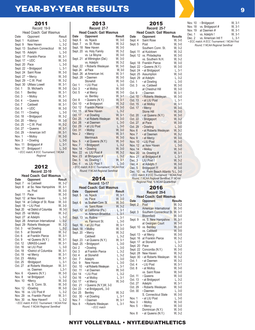## **YEAR-BY-YEAR RESULTS Property Service Service Service Service** Service Service Service Service Service Service

|          | 2011                                  |          |
|----------|---------------------------------------|----------|
|          | Record: 19-9                          |          |
|          | Head Coach: Gail Wasmus               |          |
| Date     | Opponent                              | Result   |
| Sept. 1  | Kutztown                              | L, 3-2   |
| Sept. 9  | New Haven                             | L, 3-2   |
| Sept. 13 | Southern Connecticut                  | W, 3-0   |
| Sept. 15 | Adelphi                               | $L, 3-0$ |
| Sept. 17 | <b>Franklin Pierce</b>                | W, 3-1   |
| Sept. 17 | $\cdot$ UDC                           | W, 3-0   |
| Sept. 20 | Pace                                  | $L, 3-0$ |
| Sept. 22 | • Bridgeport                          | $L, 3-1$ |
| Sept. 24 | Saint Rose                            | W, 3-0   |
| Sept. 27 | • Mercy                               | W, 3-0   |
| Sept. 29 | · C.W. Post                           | W, 3-2   |
| Sept. 30 | <b>UMass Lowell</b>                   | W, 3-1   |
| Oct. 1   | St. Michael's                         | W, 3-0   |
| Oct. 1   | Bentley                               | W. 3-1   |
| Oct. 3   | • Molloy                              | W, 3-1   |
| Oct. 4   | • Queens                              | W, 3-0   |
| Oct. 7   | Caldwell                              | W, 3-1   |
| Oct. 8   | $\cdot$ UDC                           | W, 3-0   |
| Oct. 11  | • Dowling                             | $L, 3-0$ |
| Oct. 18  | · Bridgeport                          | W, 3-2   |
| Oct. 20  | • Mercy                               | W, 3-0   |
| Oct. 25  | · C.W. Post                           | W, 3-2   |
| Oct. 27  | • Queens                              | W, 3-1   |
| Oct. 29  | • American Int'l                      | W, 3-1   |
| Nov. 1   | • Molloy                              | W, 3-0   |
| Nov. 3   | • Dowling                             | $L, 3-0$ |
| Nov. 11  | Bridgeport #                          | $L, 3-1$ |
| Nov. 17  | Bridgeport!                           | $L.3-0$  |
|          | · ECC match; # ECC Tournament; ! NCAA |          |
|          | Regional                              |          |

#### 2012 **Record: 22-10**

#### **Head Coach: Gail Wasmus**

| Date     | Opponent                                    | Result               |
|----------|---------------------------------------------|----------------------|
| Sept. 7  | vs Caldwell                                 | W. 3-2               |
| Sept. 8  | at So. New Hampshire                        | W, 3-1               |
|          | vs. Post                                    | W. 3-0               |
| Sept. 11 | Pace                                        | W. 3-0               |
| Sept. 12 | at New Haven                                | $L, 3-0$             |
| Sept. 14 | at College of St. Rose                      |                      |
| Sept. 18 | • LIU Post                                  | W, 3-0<br>W, 3-0     |
| Sept. 20 | •at District of Columbia                    | W, 3-0               |
| Sept. 25 | •at Molloy                                  | W, 3-2               |
| Sept. 27 | at Adelphi                                  | $L, 3-2$             |
| Sept. 28 | American International                      | $L, 3-2$             |
| Sept. 29 | Roberts Wesleyan                            | W. 3-2               |
| Oct. 3   | •at Dowling                                 | $L, 3-2$             |
| Oct. 5   | at Stonehill                                | W, 3-2               |
| Oct. 6   | at Franklin Pierce                          | $W, 3-1$<br>$W, 3-1$ |
| Oct. 9   | •at Queens (N.Y.)                           |                      |
| Oct. 12  | <b>UMASS-Lowell</b>                         | W, 3-1               |
| Oct. 16  | at LIU Post                                 | $L, 3-0$             |
| Oct. 18  | •District of Columbia                       | W, 3-1               |
| Oct. 19  | •at Mercy                                   | W. 3-1               |
| Oct. 23  | •Molloy                                     | W. 3-1               |
| Oct. 25  | •Bridgeport                                 | $L, 3-1$             |
| Oct. 27  | at Roberts Wesleyan                         | W, 3-1               |
|          | vs. Daemen                                  | $L, 3-1$             |
| Nov. 6   | •Queens (N.Y.)                              | $W, 3-0$             |
| Nov. 8   | •at Bridgeport                              | $L, 3-2$             |
| Nov. 10  | •Mercy                                      | W, 3-0               |
|          | vs. S. Conn. St.                            | W, 3-0               |
| Nov. 12  | •Dowling                                    | W. 3-0               |
| Nov. 16  | vs. LIU Post #                              | $L, 3-2$             |
| Nov. 29  | vs. Franklin Pierce!                        | W. 3-1               |
| Nov. 30  | vs. New Haven!!                             | $L, 3-2$             |
|          | • ECC match: # ECC Tournament: ! NCAA First |                      |
|          | Round; !! NCAA Regional Semifinal           |                      |

| 2013                |                                             |  |                            |
|---------------------|---------------------------------------------|--|----------------------------|
| <b>Record: 27-7</b> |                                             |  |                            |
|                     | <b>Head Coach: Gail Wasmus</b>              |  |                            |
| Date                | Opponent                                    |  | <b>Result</b>              |
| Sept. 6             | vs. Nyack                                   |  | W, 3-0                     |
| Sept. 7             | vs. St. Rose                                |  | W, 3-2                     |
| Sept. 18            | New Haven                                   |  |                            |
| Sept. 20            | vs. Holy Family                             |  | W, 3-0<br>W, 3-2           |
|                     | vs. Le Moyne                                |  | $W, 3-0$                   |
| Sept. 21            | at Wilmington (Del.)                        |  | W, 3-0                     |
|                     | vs. Adelphi                                 |  | W, 3-2                     |
| Sept. 22            | • Roberts Wesleyan                          |  | W, 3-0                     |
| Sept. 24            | at Pace                                     |  | W, 3-0                     |
| Sept. 26            | at American Int.                            |  |                            |
| Sept. 28            | • Daemen                                    |  | W, 3-1<br>W, 3-0           |
|                     | Stonehill                                   |  | W, 3-0                     |
| Oct. 1              | • LIU Post                                  |  | $L, 3-0$                   |
| Oct. 3              | • at Molloy                                 |  | W, 3-0                     |
| Oct. 5              | • at Mercy                                  |  | W, 3-0                     |
|                     | vs. Bentley                                 |  |                            |
| Oct. 8              | • Queens (N.Y.)                             |  | W, 3-1<br>W, 3-1<br>W, 3-2 |
| Oct. 10             | • at Bridgeport                             |  |                            |
| Oct. 12             | <b>Franklin Pierce</b>                      |  | W, 3-0                     |
| Oct. 15             | at New Haven                                |  | $L, 3-2$                   |
| Oct. 17             | • at Dowling                                |  | W, 3-1                     |
| Oct. 25             | • at Roberts Wesleyan                       |  | W, 3-0                     |
| Oct. 26             | • at Daemen                                 |  | $L, 3-0$                   |
| Oct. 29             | • at LIU Post                               |  | $L, 3-0$<br>W, $3-0$       |
| Oct. 31             | • Molloy                                    |  |                            |
| Nov. 2              | • Mercy                                     |  | W. 3-1                     |
|                     | Merrimack                                   |  | W, 3-0                     |
| Nov. 5              | • at Queens (N.Y.)                          |  | W, 3-0                     |
| Nov. 7              | • Bridgeport                                |  | $L, 3-2$                   |
| Nov. 14             | • Dowling                                   |  | W, 3-0<br>W, 3-2           |
| <b>Nov. 22</b>      | vs. LIU Post #                              |  |                            |
| <b>Nov. 23</b>      | at Bridgeport #                             |  | $L, 3-2$                   |
| Dec. 5              | vs. Dowling !                               |  | $W, 3-1$                   |
| Dec. 6              | vs. LIU Post !!                             |  | $L, 3-0$                   |
|                     | • ECC match; # ECC Tournament; ! NCAA First |  |                            |
|                     | Round; !! NCAA Regional Semifinal           |  |                            |

### 2014

|          | <b>Record: 13-17</b>           |          |
|----------|--------------------------------|----------|
|          | <b>Head Coach: Gail Wasmus</b> |          |
| Date     | Opponent                       | Result   |
| Sept. 5  | vs. Nyack                      | W, 3-1   |
|          | vs. Pace                       | W, 3-0   |
| Sept. 6  | vs. Southern Conn. St.         | W, 3-0   |
|          | vs. Saint Rose                 | W, 3-2   |
| Sept. 12 | at California (Pa.)            | $L, 3-1$ |
|          | vs. Alderson-Broaddus          | $L, 3-1$ |
| Sept. 13 | vs. Rollins                    | L. 3-1   |
|          | vs. Fairmont St.               | $L, 3-0$ |
| Sept. 16 | • at LIU Post                  | W, 3-1   |
| Sept. 18 | • Molloy                       | W, 3-0   |
| Sept. 20 | • Mercy                        | W, 3-2   |
|          | Caldwell                       | $L, 3-2$ |
| Sept. 23 | • at Queens (N.Y.)             | W, 3-1   |
| Sept. 25 | • Bridgeport                   | $L, 3-0$ |
| Oct. 2   | • Dowling                      | $L, 3-0$ |
| Oct. 3   | at Franklin Pierce             | L. 3-2   |
| Oct. 4   | at Stonehill                   | L, 3-2   |
| Oct. 7   | Adelphi                        | $L, 3-0$ |
| Oct. 9   | New Haven                      | $L, 3-0$ |
| Oct. 10  | • at Roberts Wesleyan          | $L, 3-1$ |
| Oct. 11  | • at Daemen                    | W, 3-0   |
| Oct. 14  | • LIU Post                     | L, 3-2   |
| Oct. 16  | • at Molloy                    | $L, 3-1$ |
| Oct. 17  | • at Mercy                     | W. 3-0   |
| Oct. 21  | • Queens (N.Y.)W, 3-0          |          |
| Oct. 23  | • at BridgeportL, 3-0          |          |
| Oct. 25  | Bentley                        | W, 3-2   |
| Oct. 30  | • at Dowling                   | $L, 3-1$ |
| Nov. 7   | • Daemen                       | W, 3-1   |
| Nov. 8   | • Roberts Wesleyan             | $L, 3-1$ |
|          | $\cdot$ ECC match              |          |
|          |                                |          |

#### 2015 **Record: 25-7 Head Coach: Gail Wasmus**<br>Date Opponent Results **Opponent** Results<br>
Saint Rose W, 3-0 Sept. 4 Saint Rose W, 3-0<br>Sept. 5 Post W, 3-0 Sept. 5 Post W, 3-0<br>Southern Conn. St. W, 3-2 Southern Conn. St. W, 3-2<br>at Kutztown W, 3-2 Sept. 11 at Kutztown W, 3-2<br>Sept. 12 vs. Philadephia W, 3-0 Sept. 12 vs. Philadephia W, 3-0<br>vs. Southern N.H. W, 3-2 vs. Southern N.H. W, 3-2<br>Franklin Pierce W, 3-0 Sept. 18 Franklin Pierce W, 3-0<br>Sept. 22 · Queens (N.Y.) W, 3-0 Sept. 22 **•** Queens (N.Y.) W, 3-0<br>Sept. 24 **•** at Bridgeport L, 3-1 Sept. 24 **•** at Bridgeport L, 3-1<br>Sept. 25 Assumption W, 3-0 Sept. 25 Assumption W, 3-0<br>Sept. 29 at Adelphi L, 3-2 Sept. 29 at Adelphi L, 3-2<br>Oct. 1 • at Dowling L, 3-0 **•** at Dowling L, 3-0<br>vs. Caldwell W, 3-0 Oct. 3 vs. Caldwell W, 3-0<br>at Chestnut Hill W, 3-0 at Chestnut Hill W, 3-0<br>
• Daemen W, 3-1 Oct. 9 *•* Daemen W, 3-1 Oct. 10 *•* Roberts Wesleyan W, 3-0 Oct. 13 • at LIU Post L, 3-1<br>Oct. 15 • at Mollov W 3-1 Oct. 15 *•* at Molloy W, 3-1

| UCI. 15 | • at Molloy                                 | VV, 3-1  |
|---------|---------------------------------------------|----------|
| Oct. 17 | • Mercy                                     | W. 3-0   |
|         | <b>Stone Hill</b>                           | W. 3-0   |
| Oct. 20 | · at Queens (N.Y.)                          | W. 3-0   |
| Oct. 22 | · Bridgeport                                | W. 3-2   |
| Oct. 27 | at Pace                                     | W. 3-0   |
| Oct. 29 | • Dowling                                   | $L.3-0$  |
| Nov. 6  | • at Roberts Wesleyan                       | W. 3-2   |
| Nov. 7  | · at Daemen                                 | W. 3-2   |
| Nov. 9  | • at Mercy                                  | W. 3-0   |
| Nov. 10 | • LIU Post                                  | W. 3-0   |
| Nov. 12 | at New Haven                                | $L, 3-0$ |
| Nov. 14 | • Molloy                                    | W. 3-0   |
| Nov. 20 | vs. Dowling #                               | W. 3-1   |
| Nov. 21 | at Bridgeport #                             | $L, 3-1$ |
| Dec. 3  | LIU Post!                                   | W. 3-2   |
| Dec. 4  | at Adelphi!                                 | W. 3-0   |
| Dec. 5  | Bridgeport !!!                              | W. 3-0   |
| Dec. 10 | vs. Palm Beach Atlantic % L, 3-0            |          |
|         | · ECC match; # ECC Tournament; ! NCAA First |          |
|         |                                             |          |

*Round; !! NCAA Regional Semifinal, !!! NCAA Regional Final, % NCAA Quarterfinal* 

#### 2016

#### **Record: 29-6 Head Coach: Gail Wasmus**

| Date     | Opponent                 | <b>Results</b> |
|----------|--------------------------|----------------|
| Sept. 2  | Post                     | W, 3-2         |
|          | American International   | W, 3-0         |
| Sept. 3  | Southern Connecticut St. | W, 3-1         |
|          | <b>Bloomfield</b>        | W, 3-0         |
| Sept. 9  | vs. S. New Hampshire     | W, 3-1         |
|          | at Georgian Court        | W, 3-0         |
| Sept. 10 | vs. Bentley              | W, 3-0         |
|          | vs. Caldwell             | W, 3-0         |
| Sept. 13 | • at Mercy               | W. 3-0         |
| Sept. 16 | at Franklin Pierce       | W, 3-2         |
| Sept. 17 | at Stonehill             | L, 3-1         |
| Sept. 20 | Pace                     | $L, 3-2$       |
| Sept. 22 | Concordia (N.Y.)         | W, 3-0         |
| Sept. 28 | New Haven                | W. 3-2         |
| Sept. 30 | • at Roberts Wesleyan    | W, 3-2         |
| Oct. 1   | • at Daemen              | W, 3-2         |
| Oct. 4   | • LIU Post               | W, 3-1         |
| Oct. 8   | • at Molloy              | W, 3-0         |
|          | vs. Saint Rose           | W, 3-0         |
| Oct. 11  | • Queens                 | W, 3-0         |
| Oct. 13  | • at Bridgeport          | $L, 3-2$       |
| Oct. 27  | Adelphi                  | W, 3-1         |
| Oct. 29  | • Roberts Wesleyan       | W, 3-0         |
| Oct. 30  | • Daemen                 | $L, 3-0$       |
|          | S. Connecticut State     | W, 3-0         |
| Nov. 1   | • at LIU Post            | $L, 3-0$       |
| Nov. 3   | • Molloy                 | W, 3-0         |
| Nov. 5   | • Mercy                  | W, 3-0         |
|          | Dominican (N.Y.)         | W, 3-0         |
| Nov. 8   | • at Queens (N.Y.)       | W. 3-2         |

#### Nov. 10 **•** Bridgeport W, 3-1<br>Nov. 18 vs. Bridgeport # W, 3-1 Nov. 18 vs. Bridgeport # W, 3-1<br>Nov. 19 at Daemen # W, 3-1 Nov. 19 at Daemen # W, 3-1<br>Dec. 1 vs. Adelphi ! W, 3-1 Dec. 1 vs. Adelphi ! W, 3-1<br>Dec. 2 vs. American Intl !! | 3-1 Dec. 2 vs. American Intl !! *• ECC match; # ECC Tournament; ! NCAA First Round; !! NCAA Regional Semifinal*